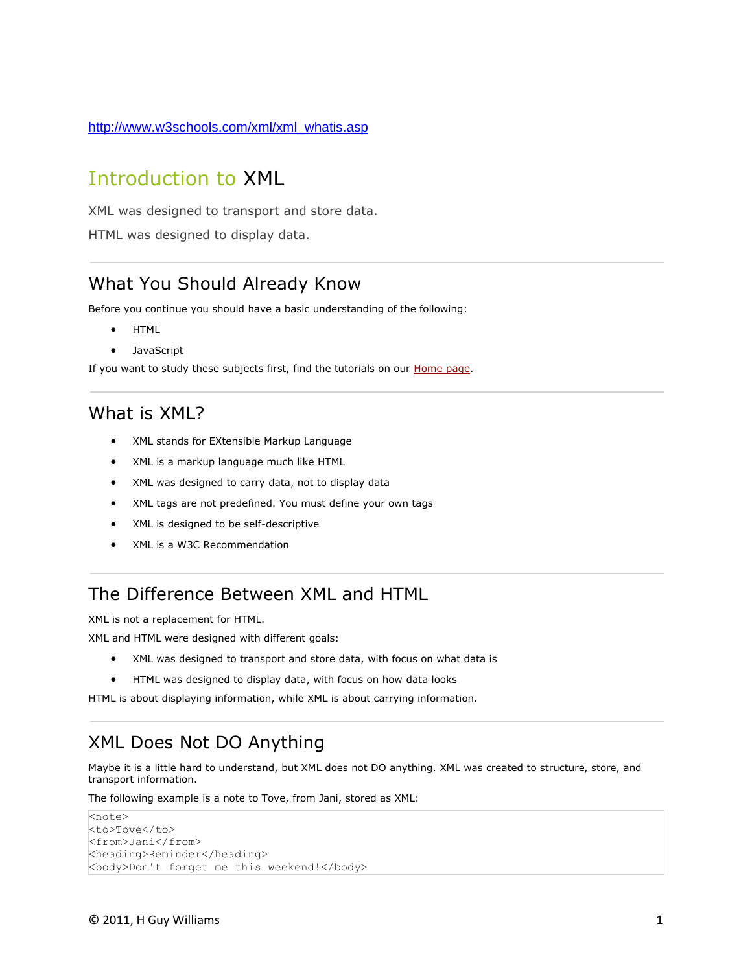[http://www.w3schools.com/xml/xml\\_whatis.asp](http://www.w3schools.com/xml/xml_whatis.asp)

# Introduction to XML

XML was designed to transport and store data.

HTML was designed to display data.

## What You Should Already Know

Before you continue you should have a basic understanding of the following:

- HTML
- JavaScript

If you want to study these subjects first, find the tutorials on our [Home page.](http://www.w3schools.com/default.asp)

### What is XML?

- XML stands for EXtensible Markup Language
- XML is a markup language much like HTML
- XML was designed to carry data, not to display data
- XML tags are not predefined. You must define your own tags
- XML is designed to be self-descriptive
- XML is a W3C Recommendation

### The Difference Between XML and HTML

XML is not a replacement for HTML.

XML and HTML were designed with different goals:

- XML was designed to transport and store data, with focus on what data is
- HTML was designed to display data, with focus on how data looks

HTML is about displaying information, while XML is about carrying information.

# XML Does Not DO Anything

Maybe it is a little hard to understand, but XML does not DO anything. XML was created to structure, store, and transport information.

The following example is a note to Tove, from Jani, stored as XML:

```
<note>
<to>Tove</to>
<from>Jani</from>
<heading>Reminder</heading>
<body>Don't forget me this weekend!</body>
```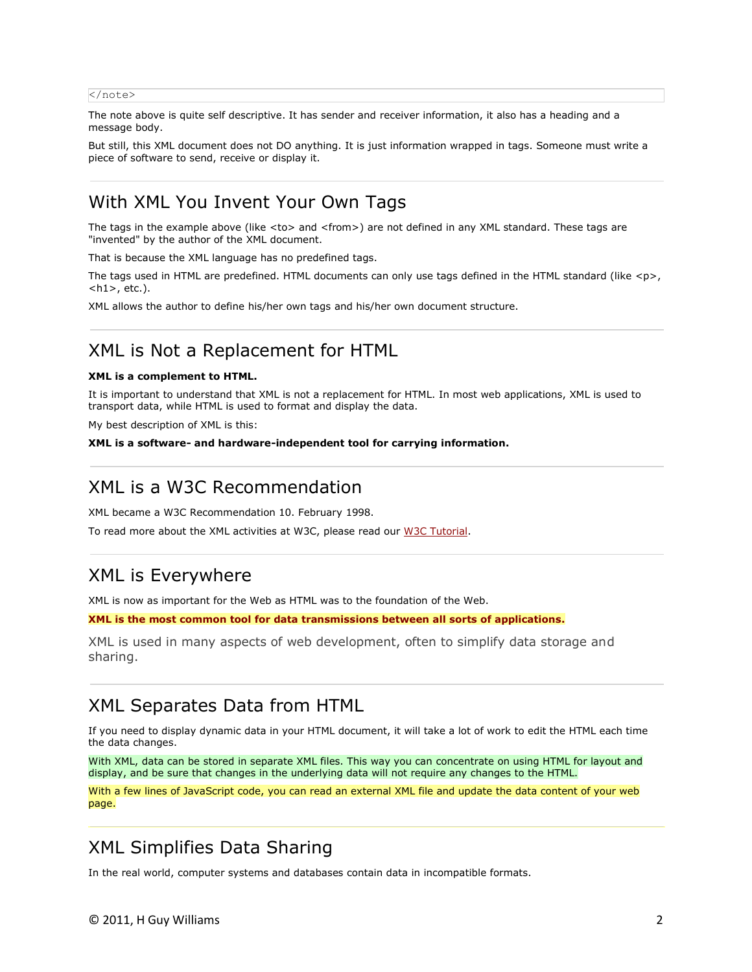#### </note>

The note above is quite self descriptive. It has sender and receiver information, it also has a heading and a message body.

But still, this XML document does not DO anything. It is just information wrapped in tags. Someone must write a piece of software to send, receive or display it.

## With XML You Invent Your Own Tags

The tags in the example above (like <to> and <from>) are not defined in any XML standard. These tags are "invented" by the author of the XML document.

That is because the XML language has no predefined tags.

The tags used in HTML are predefined. HTML documents can only use tags defined in the HTML standard (like <p>,  $\langle h1 \rangle$ , etc.).

XML allows the author to define his/her own tags and his/her own document structure.

## XML is Not a Replacement for HTML

#### **XML is a complement to HTML.**

It is important to understand that XML is not a replacement for HTML. In most web applications, XML is used to transport data, while HTML is used to format and display the data.

My best description of XML is this:

**XML is a software- and hardware-independent tool for carrying information.**

### XML is a W3C Recommendation

XML became a W3C Recommendation 10. February 1998.

To read more about the XML activities at W3C, please read our [W3C Tutorial.](http://www.w3schools.com/w3c/w3c_xml.asp)

#### XML is Everywhere

XML is now as important for the Web as HTML was to the foundation of the Web.

**XML is the most common tool for data transmissions between all sorts of applications.**

XML is used in many aspects of web development, often to simplify data storage and sharing.

#### XML Separates Data from HTML

If you need to display dynamic data in your HTML document, it will take a lot of work to edit the HTML each time the data changes.

With XML, data can be stored in separate XML files. This way you can concentrate on using HTML for layout and display, and be sure that changes in the underlying data will not require any changes to the HTML.

With a few lines of JavaScript code, you can read an external XML file and update the data content of your web page.

### XML Simplifies Data Sharing

In the real world, computer systems and databases contain data in incompatible formats.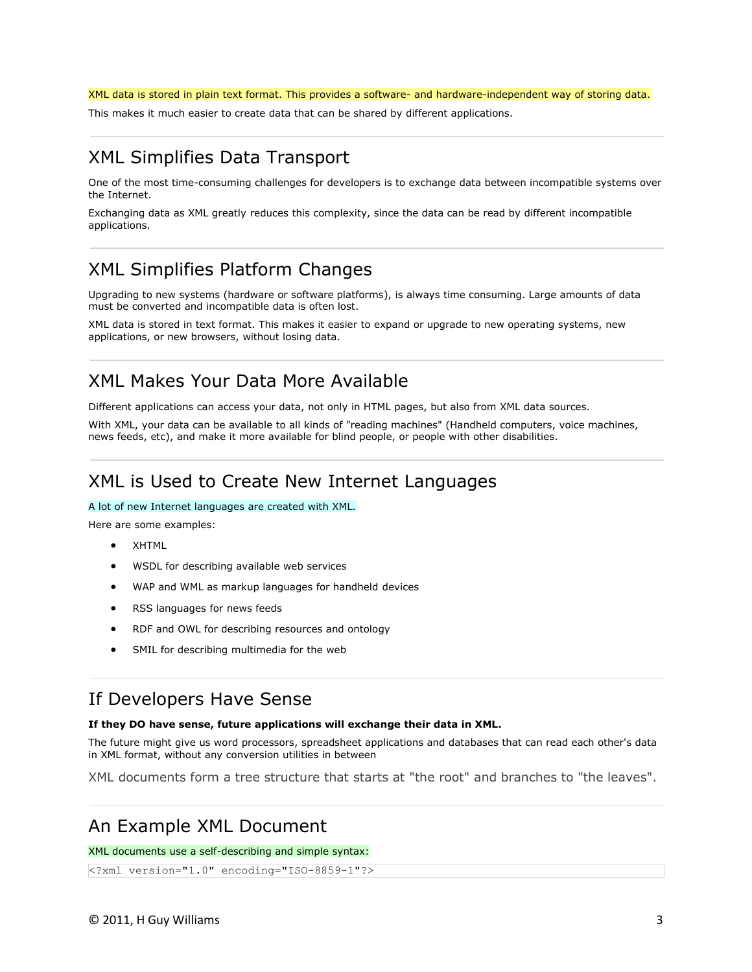#### XML data is stored in plain text format. This provides a software- and hardware-independent way of storing data.

This makes it much easier to create data that can be shared by different applications.

### XML Simplifies Data Transport

One of the most time-consuming challenges for developers is to exchange data between incompatible systems over the Internet.

Exchanging data as XML greatly reduces this complexity, since the data can be read by different incompatible applications.

### XML Simplifies Platform Changes

Upgrading to new systems (hardware or software platforms), is always time consuming. Large amounts of data must be converted and incompatible data is often lost.

XML data is stored in text format. This makes it easier to expand or upgrade to new operating systems, new applications, or new browsers, without losing data.

### XML Makes Your Data More Available

Different applications can access your data, not only in HTML pages, but also from XML data sources.

With XML, your data can be available to all kinds of "reading machines" (Handheld computers, voice machines, news feeds, etc), and make it more available for blind people, or people with other disabilities.

### XML is Used to Create New Internet Languages

#### A lot of new Internet languages are created with XML.

Here are some examples:

- XHTML
- WSDL for describing available web services
- WAP and WML as markup languages for handheld devices
- RSS languages for news feeds
- RDF and OWL for describing resources and ontology
- SMIL for describing multimedia for the web

#### If Developers Have Sense

#### **If they DO have sense, future applications will exchange their data in XML.**

The future might give us word processors, spreadsheet applications and databases that can read each other's data in XML format, without any conversion utilities in between

XML documents form a tree structure that starts at "the root" and branches to "the leaves".

#### An Example XML Document

#### XML documents use a self-describing and simple syntax:

<?xml version="1.0" encoding="ISO-8859-1"?>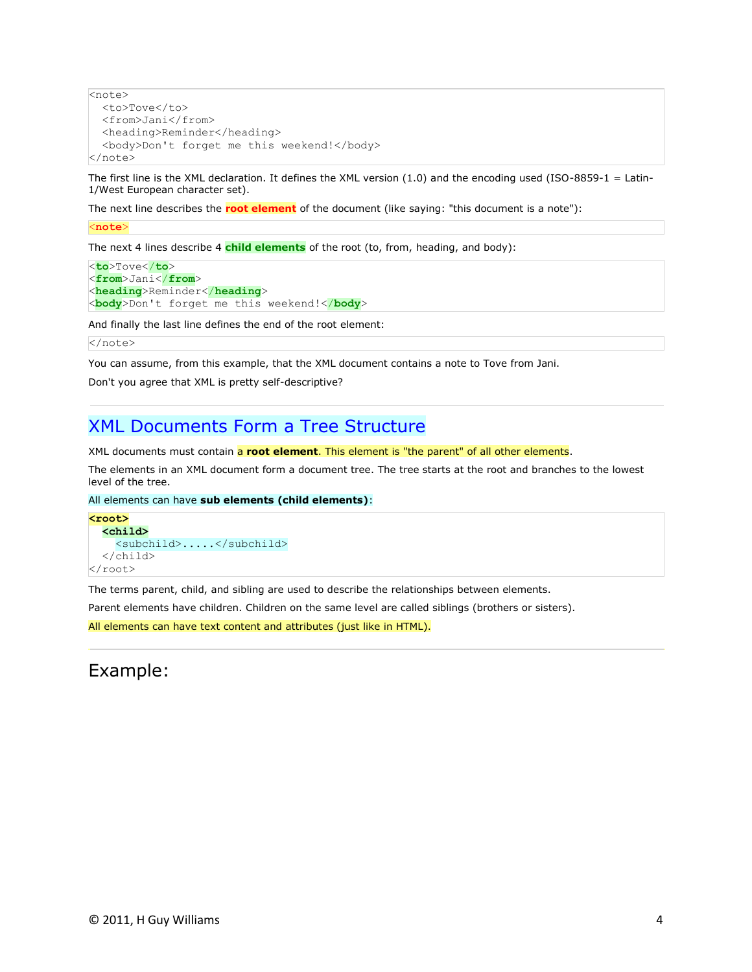```
<note>
  <to>Tove</to>
  <from>Jani</from>
  <heading>Reminder</heading>
  <body>Don't forget me this weekend!</body>
</note>
```
The first line is the XML declaration. It defines the XML version  $(1.0)$  and the encoding used  $(ISO-8859-1 = Latin-$ 1/West European character set).

The next line describes the **root element** of the document (like saying: "this document is a note"):

<**note**>

The next 4 lines describe 4 **child elements** of the root (to, from, heading, and body):

```
<to>Tove</to>
<from>Jani</from>
<heading>Reminder</heading>
<body>Don't forget me this weekend!</body>
```
And finally the last line defines the end of the root element:

</note>

You can assume, from this example, that the XML document contains a note to Tove from Jani.

Don't you agree that XML is pretty self-descriptive?

## XML Documents Form a Tree Structure

XML documents must contain a **root element**. This element is "the parent" of all other elements.

The elements in an XML document form a document tree. The tree starts at the root and branches to the lowest level of the tree.

```
All elements can have sub elements (child elements):
```

```
<root>
  <child>
     <subchild>.....</subchild>
  \langle/child>
</root>
```
The terms parent, child, and sibling are used to describe the relationships between elements.

Parent elements have children. Children on the same level are called siblings (brothers or sisters).

All elements can have text content and attributes (just like in HTML).

### Example: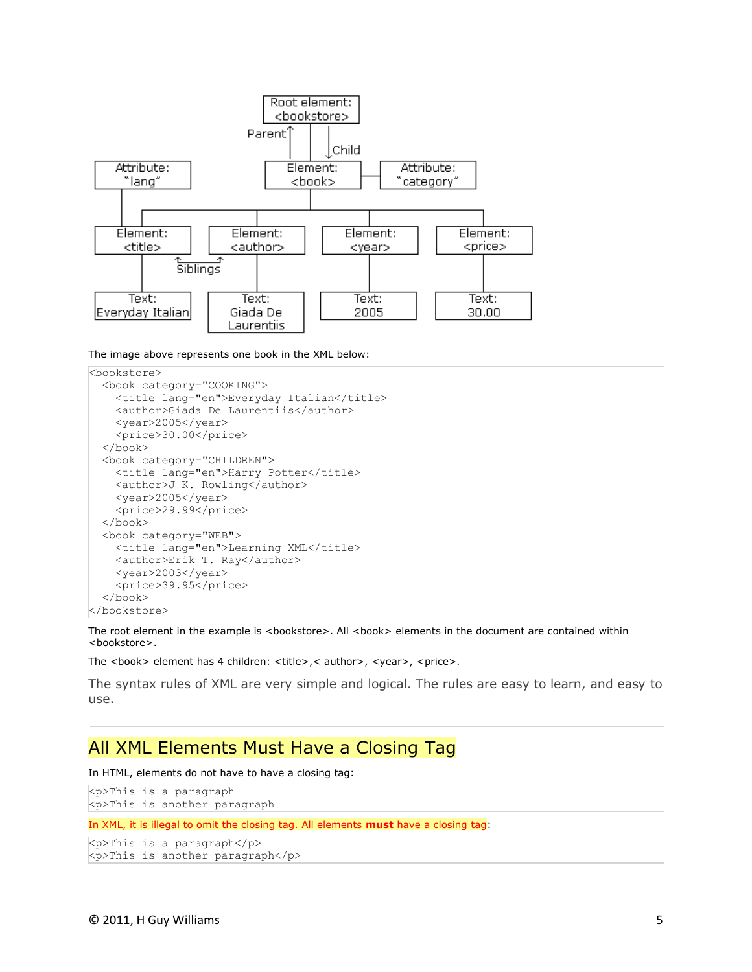

The image above represents one book in the XML below:

```
<bookstore>
  <book category="COOKING">
     <title lang="en">Everyday Italian</title>
     <author>Giada De Laurentiis</author>
     <year>2005</year>
     <price>30.00</price>
 </book>
 <book category="CHILDREN">
    <title lang="en">Harry Potter</title>
     <author>J K. Rowling</author>
     <year>2005</year>
     <price>29.99</price>
 </book>
 <book category="WEB">
    <title lang="en">Learning XML</title>
     <author>Erik T. Ray</author>
     <year>2003</year>
     <price>39.95</price>
  </book>
</bookstore>
```
The root element in the example is <bookstore>. All <book> elements in the document are contained within <bookstore>.

The <book> element has 4 children: <title>,< author>, <year>, <price>.

The syntax rules of XML are very simple and logical. The rules are easy to learn, and easy to use.

## All XML Elements Must Have a Closing Tag

In HTML, elements do not have to have a closing tag:

```
<p>This is a paragraph
\bar{p}>This is another paragraph
In XML, it is illegal to omit the closing tag. All elements must have a closing tag:
```

```
<p>This is a paragraph</p>
<p>This is another paragraph</p>
```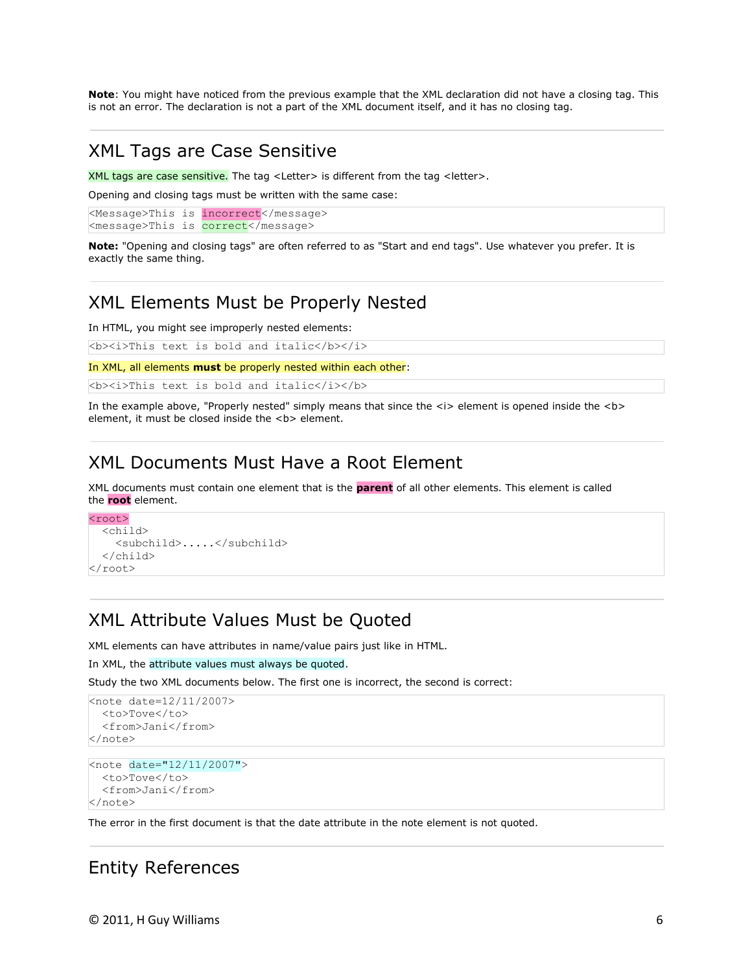**Note**: You might have noticed from the previous example that the XML declaration did not have a closing tag. This is not an error. The declaration is not a part of the XML document itself, and it has no closing tag.

#### XML Tags are Case Sensitive

XML tags are case sensitive. The tag <Letter> is different from the tag <letter>.

Opening and closing tags must be written with the same case:

```
<Message>This is incorrect</message>
<message>This is correct</message>
```
**Note:** "Opening and closing tags" are often referred to as "Start and end tags". Use whatever you prefer. It is exactly the same thing.

#### XML Elements Must be Properly Nested

In HTML, you might see improperly nested elements:

<b><i>This text is bold and italic</b></i>

In XML, all elements **must** be properly nested within each other:

<b><i>This text is bold and italic</i></b>

In the example above, "Properly nested" simply means that since the <i> element is opened inside the <b element, it must be closed inside the <b> element.

#### XML Documents Must Have a Root Element

XML documents must contain one element that is the **parent** of all other elements. This element is called the **root** element.

```
<root>
  <child>
     <subchild>.....</subchild>
 </child>
</root>
```
#### XML Attribute Values Must be Quoted

XML elements can have attributes in name/value pairs just like in HTML.

In XML, the attribute values must always be quoted.

Study the two XML documents below. The first one is incorrect, the second is correct:

```
<note date=12/11/2007>
 <to>Tove</to>
  <from>Jani</from>
</note>
```

```
<note date="12/11/2007">
 <to>Tove</to>
  <from>Jani</from>
</note>
```
The error in the first document is that the date attribute in the note element is not quoted.

#### Entity References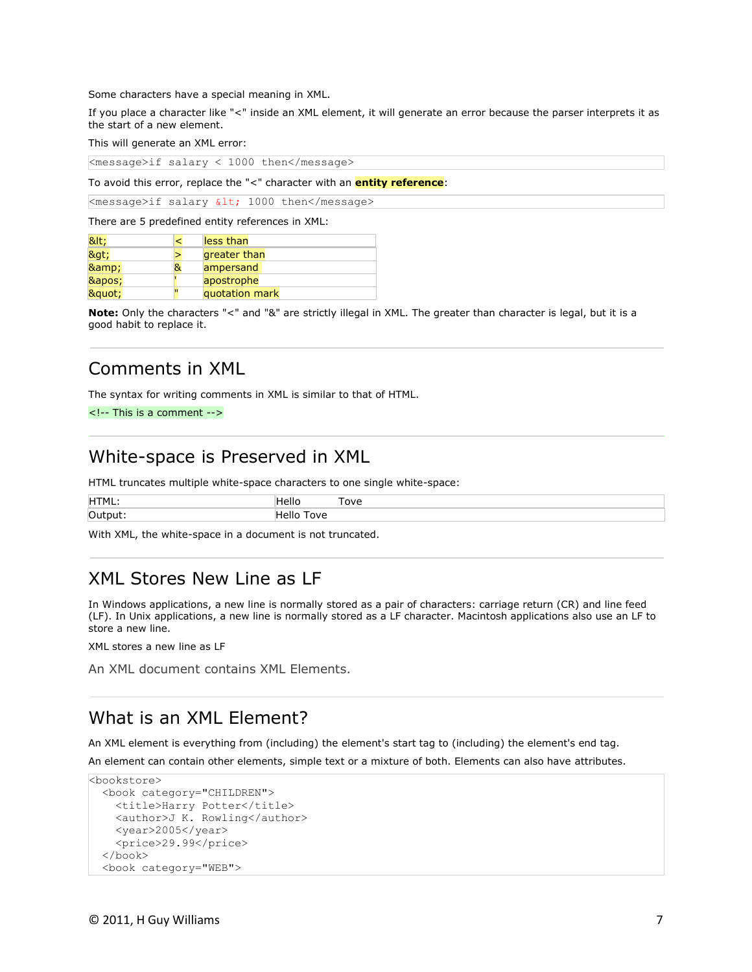Some characters have a special meaning in XML.

If you place a character like "<" inside an XML element, it will generate an error because the parser interprets it as the start of a new element.

This will generate an XML error:

<message>if salary < 1000 then</message>

To avoid this error, replace the "<" character with an **entity reference**:

<message>if salary &lt; 1000 then</message>

There are 5 predefined entity references in XML:

| $8$ lt; |   | less than      |
|---------|---|----------------|
| >       |   | greater than   |
| &       |   | ampersand      |
| '       |   | apostrophe     |
| "       | п | quotation mark |

**Note:** Only the characters "<" and "&" are strictly illegal in XML. The greater than character is legal, but it is a good habit to replace it.

### Comments in XML

The syntax for writing comments in XML is similar to that of HTML.

```
<!-- This is a comment -->
```
#### White-space is Preserved in XML

HTML truncates multiple white-space characters to one single white-space:

| <b>HTMI</b> | ــ<br>∍⊔∆ ⊸<br>$\cdot$ | ัก∨e<br>. .<br>____ |
|-------------|------------------------|---------------------|
| Outnut.     | $\sim$                 |                     |

With XML, the white-space in a document is not truncated.

#### XML Stores New Line as LF

In Windows applications, a new line is normally stored as a pair of characters: carriage return (CR) and line feed (LF). In Unix applications, a new line is normally stored as a LF character. Macintosh applications also use an LF to store a new line.

XML stores a new line as LF

An XML document contains XML Elements.

#### What is an XML Element?

An XML element is everything from (including) the element's start tag to (including) the element's end tag.

An element can contain other elements, simple text or a mixture of both. Elements can also have attributes.

```
<bookstore>
 <book category="CHILDREN">
     <title>Harry Potter</title>
     <author>J K. Rowling</author>
     <year>2005</year>
     <price>29.99</price>
  </book>
  <book category="WEB">
```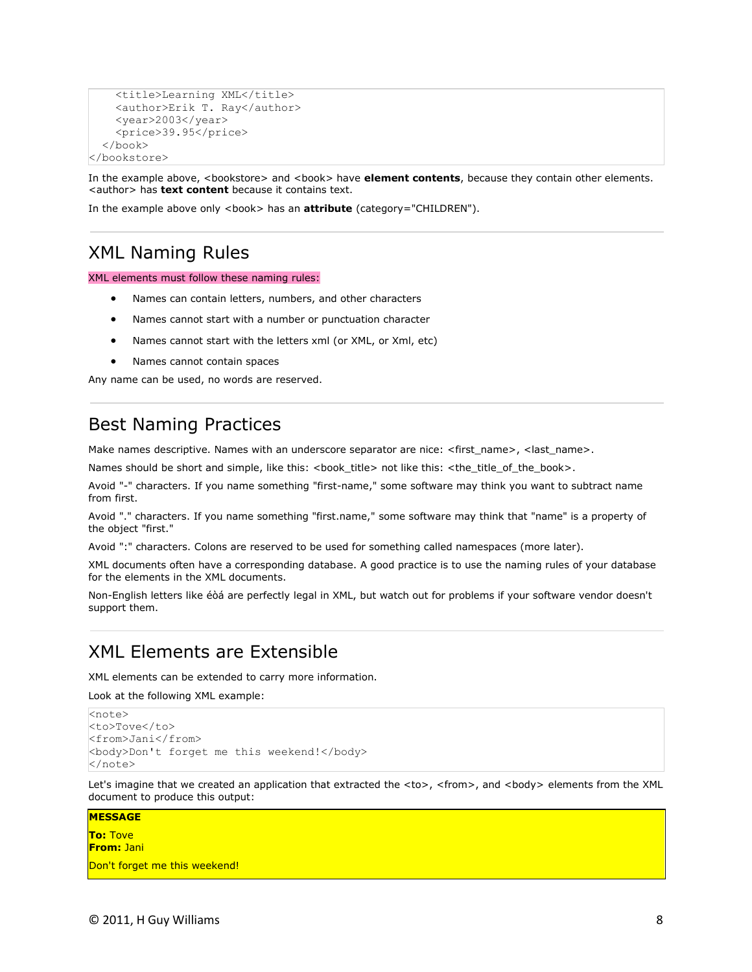```
<title>Learning XML</title>
     <author>Erik T. Ray</author>
     <year>2003</year>
     <price>39.95</price>
  </book>
</bookstore>
```
In the example above, <bookstore> and <book> have **element contents**, because they contain other elements. <author> has **text content** because it contains text.

In the example above only <book> has an **attribute** (category="CHILDREN").

### XML Naming Rules

XML elements must follow these naming rules:

- Names can contain letters, numbers, and other characters
- Names cannot start with a number or punctuation character
- Names cannot start with the letters xml (or XML, or Xml, etc)
- Names cannot contain spaces

Any name can be used, no words are reserved.

### Best Naming Practices

Make names descriptive. Names with an underscore separator are nice: <first\_name>, <last\_name>.

Names should be short and simple, like this: <book\_title> not like this: <the\_title\_of\_the\_book>.

Avoid "-" characters. If you name something "first-name," some software may think you want to subtract name from first.

Avoid "." characters. If you name something "first.name," some software may think that "name" is a property of the object "first."

Avoid ":" characters. Colons are reserved to be used for something called namespaces (more later).

XML documents often have a corresponding database. A good practice is to use the naming rules of your database for the elements in the XML documents.

Non-English letters like éòá are perfectly legal in XML, but watch out for problems if your software vendor doesn't support them.

#### XML Elements are Extensible

XML elements can be extended to carry more information.

Look at the following XML example:

```
<note>
<to>Tove</to>
<from>Jani</from>
<body>Don't forget me this weekend!</body>
</note>
```
Let's imagine that we created an application that extracted the <to>, <from>, and <body> elements from the XML document to produce this output:

#### **MESSAGE**

**To:** Tove **From:** Jani

Don't forget me this weekend!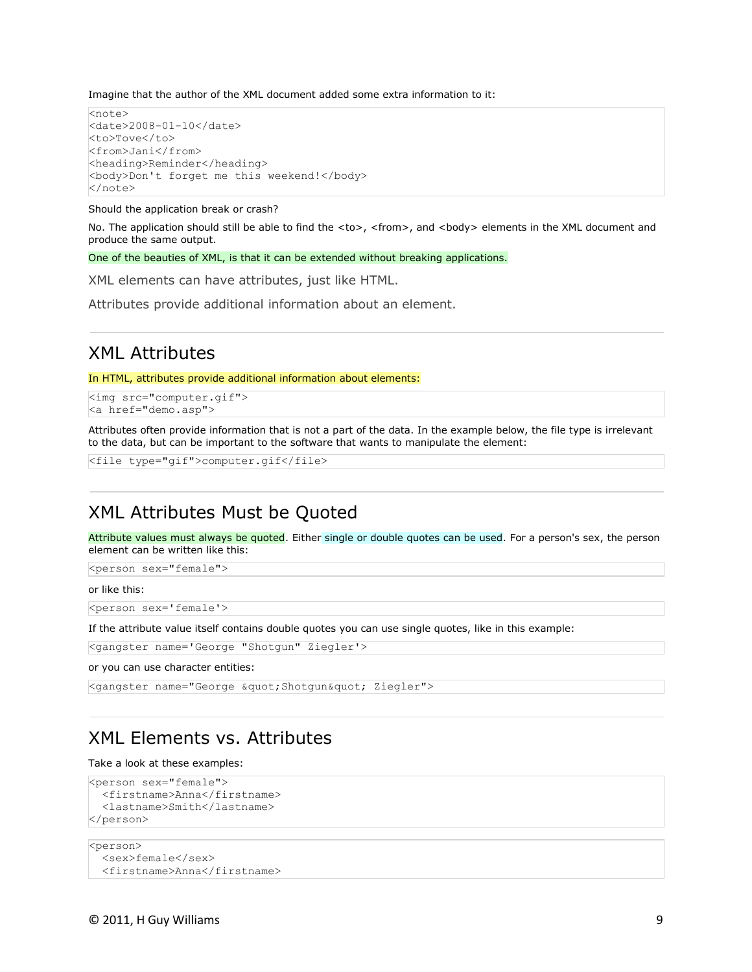Imagine that the author of the XML document added some extra information to it:

```
<note>
<date>2008-01-10</date>
<to>Tove</to>
<from>Jani</from>
<heading>Reminder</heading>
<body>Don't forget me this weekend!</body>
</note>
```
Should the application break or crash?

No. The application should still be able to find the <to>, <from>, and <br/>>body> elements in the XML document and produce the same output.

One of the beauties of XML, is that it can be extended without breaking applications.

XML elements can have attributes, just like HTML.

Attributes provide additional information about an element.

## XML Attributes

In HTML, attributes provide additional information about elements:

```
<img src="computer.gif">
<a href="demo.asp">
```
Attributes often provide information that is not a part of the data. In the example below, the file type is irrelevant to the data, but can be important to the software that wants to manipulate the element:

```
<file type="gif">computer.gif</file>
```
# XML Attributes Must be Quoted

Attribute values must always be quoted. Either single or double quotes can be used. For a person's sex, the person element can be written like this:

```
<person sex="female">
```

```
or like this:
```
<person sex='female'>

If the attribute value itself contains double quotes you can use single quotes, like in this example:

<gangster name='George "Shotgun" Ziegler'>

or you can use character entities:

```
<gangster name="George &quot; Shotgun&quot; Ziegler">
```
# XML Elements vs. Attributes

Take a look at these examples:

```
<person sex="female">
 <firstname>Anna</firstname>
 <lastname>Smith</lastname>
</person>
```

```
<person>
 <sex>female</sex>
 <firstname>Anna</firstname>
```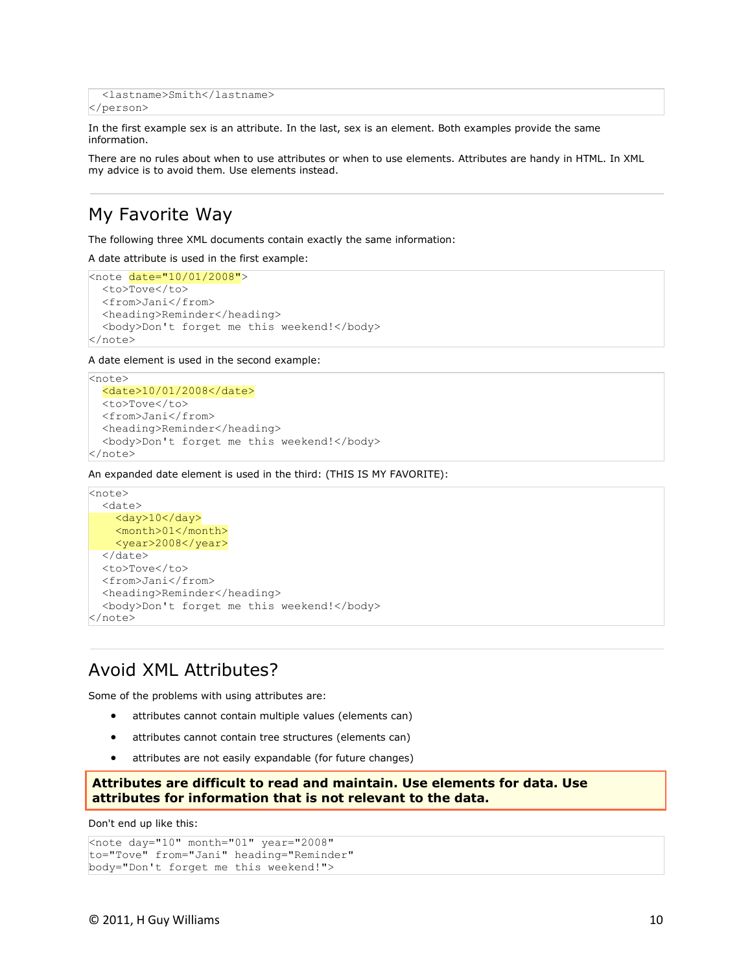```
<lastname>Smith</lastname>
</person>
```
In the first example sex is an attribute. In the last, sex is an element. Both examples provide the same information.

There are no rules about when to use attributes or when to use elements. Attributes are handy in HTML. In XML my advice is to avoid them. Use elements instead.

#### My Favorite Way

The following three XML documents contain exactly the same information:

A date attribute is used in the first example:

```
<note date="10/01/2008">
 <to>Tove</to>
 <from>Jani</from>
 <heading>Reminder</heading>
 <body>Don't forget me this weekend!</body>
</note>
```
A date element is used in the second example:

```
<note>
 <date>10/01/2008</date>
 <to>Tove</to>
 <from>Jani</from>
 <heading>Reminder</heading>
  <body>Don't forget me this weekend!</body>
</note>
```
An expanded date element is used in the third: (THIS IS MY FAVORITE):

```
<note>
  <date>
    \langle day>10<\rangleday>
     <month>01</month>
     <year>2008</year>
  </date>
  <to>Tove</to>
  <from>Jani</from>
  <heading>Reminder</heading>
  <body>Don't forget me this weekend!</body>
</note>
```
### Avoid XML Attributes?

Some of the problems with using attributes are:

- attributes cannot contain multiple values (elements can)
- attributes cannot contain tree structures (elements can)
- attributes are not easily expandable (for future changes)

**Attributes are difficult to read and maintain. Use elements for data. Use attributes for information that is not relevant to the data.**

Don't end up like this:

```
<note day="10" month="01" year="2008"
to="Tove" from="Jani" heading="Reminder"
body="Don't forget me this weekend!">
```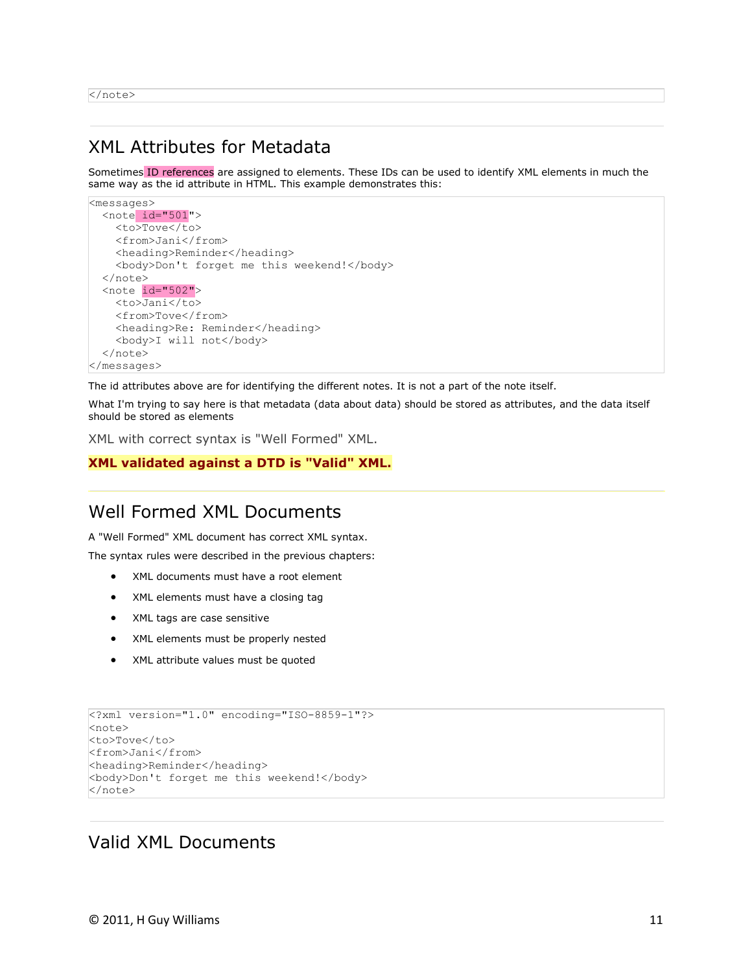</note>

### XML Attributes for Metadata

Sometimes ID references are assigned to elements. These IDs can be used to identify XML elements in much the same way as the id attribute in HTML. This example demonstrates this:

```
<messages>
 <note id="501">
   <to>Tove</to>
     <from>Jani</from>
     <heading>Reminder</heading>
     <body>Don't forget me this weekend!</body>
 </note>
 <note id="502">
    <to>Jani</to>
    <from>Tove</from>
    <heading>Re: Reminder</heading>
     <body>I will not</body>
  </note>
</messages>
```
The id attributes above are for identifying the different notes. It is not a part of the note itself.

What I'm trying to say here is that metadata (data about data) should be stored as attributes, and the data itself should be stored as elements

XML with correct syntax is "Well Formed" XML.

#### **XML validated against a DTD is "Valid" XML.**

#### Well Formed XML Documents

A "Well Formed" XML document has correct XML syntax.

The syntax rules were described in the previous chapters:

- XML documents must have a root element
- XML elements must have a closing tag
- XML tags are case sensitive
- XML elements must be properly nested
- XML attribute values must be quoted

```
<?xml version="1.0" encoding="ISO-8859-1"?>
<note>
<to>Tove</to>
<from>Jani</from>
<heading>Reminder</heading>
<body>Don't forget me this weekend!</body>
</note>
```
#### Valid XML Documents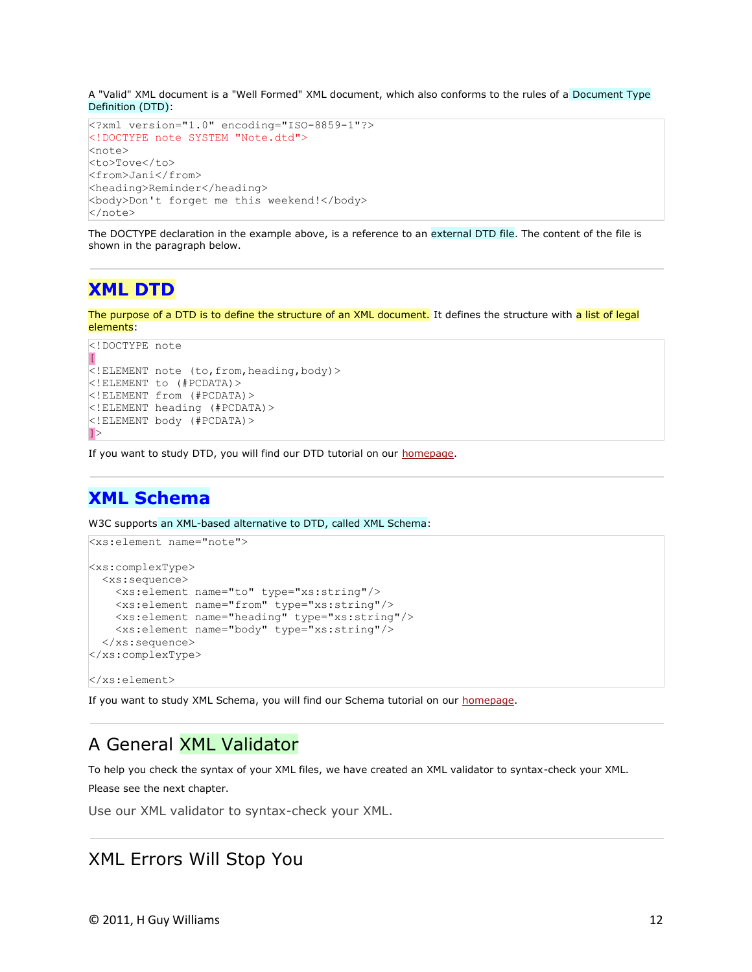A "Valid" XML document is a "Well Formed" XML document, which also conforms to the rules of a Document Type Definition (DTD):

```
<?xml version="1.0" encoding="ISO-8859-1"?>
<!DOCTYPE note SYSTEM "Note.dtd">
<note>
<to>Tove</to>
<from>Jani</from>
<heading>Reminder</heading>
<body>Don't forget me this weekend!</body>
</note>
```
The DOCTYPE declaration in the example above, is a reference to an external DTD file. The content of the file is shown in the paragraph below.

### **XML DTD**

The purpose of a DTD is to define the structure of an XML document. It defines the structure with a list of legal elements:

```
<!DOCTYPE note
\lfloor\leq!ELEMENT note (to, from, heading, body)>
<!ELEMENT to (#PCDATA)>
<!ELEMENT from (#PCDATA)>
<!ELEMENT heading (#PCDATA)>
<!ELEMENT body (#PCDATA)>
|]
```
If you want to study DTD, you will find our DTD tutorial on our [homepage.](http://www.w3schools.com/default.asp)

### **XML Schema**

W3C supports an XML-based alternative to DTD, called XML Schema:

```
<xs:element name="note">
<xs:complexType>
  <xs:sequence>
     <xs:element name="to" type="xs:string"/>
     <xs:element name="from" type="xs:string"/>
    <xs:element name="heading" type="xs:string"/>
     <xs:element name="body" type="xs:string"/>
  </xs:sequence>
</xs:complexType>
```
</xs:element>

If you want to study XML Schema, you will find our Schema tutorial on our [homepage.](http://www.w3schools.com/default.asp)

### A General XML Validator

To help you check the syntax of your XML files, we have created an XML validator to syntax-check your XML. Please see the next chapter.

Use our XML validator to syntax-check your XML.

#### XML Errors Will Stop You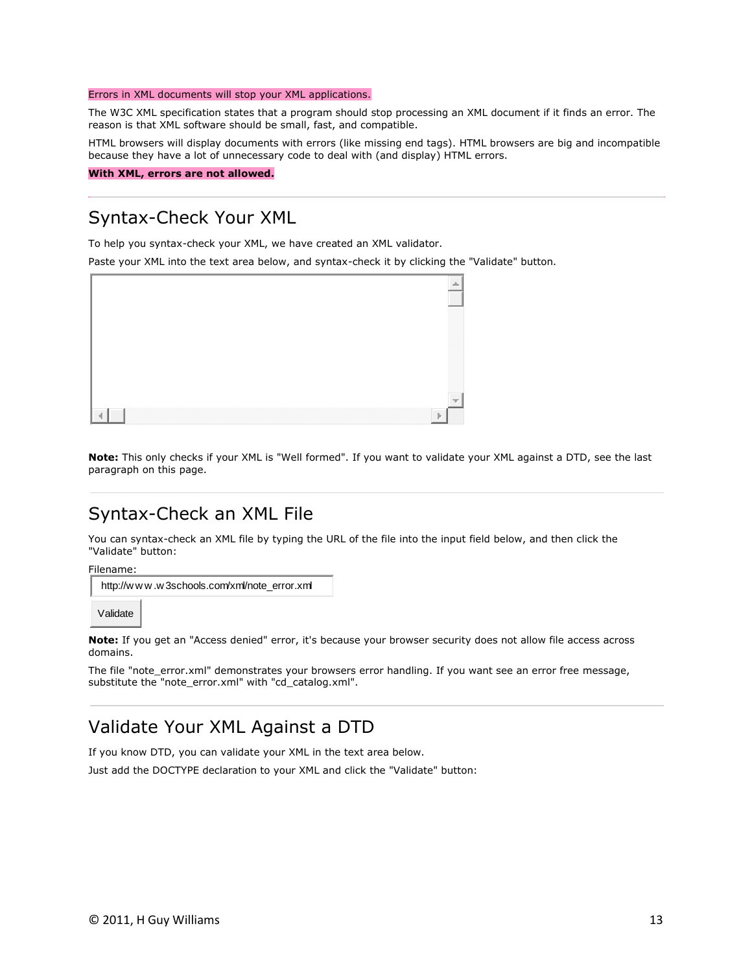#### Errors in XML documents will stop your XML applications.

The W3C XML specification states that a program should stop processing an XML document if it finds an error. The reason is that XML software should be small, fast, and compatible.

HTML browsers will display documents with errors (like missing end tags). HTML browsers are big and incompatible because they have a lot of unnecessary code to deal with (and display) HTML errors.

**With XML, errors are not allowed.**

#### Syntax-Check Your XML

To help you syntax-check your XML, we have created an XML validator.

Paste your XML into the text area below, and syntax-check it by clicking the "Validate" button.



**Note:** This only checks if your XML is "Well formed". If you want to validate your XML against a DTD, see the last paragraph on this page.

### Syntax-Check an XML File

You can syntax-check an XML file by typing the URL of the file into the input field below, and then click the "Validate" button:

Filename:

```
http://w w w .w 3schools.com/xml/note_error.xml
```
Validate

**Note:** If you get an "Access denied" error, it's because your browser security does not allow file access across domains.

The file "note error.xml" demonstrates your browsers error handling. If you want see an error free message, substitute the "note\_error.xml" with "cd\_catalog.xml".

### Validate Your XML Against a DTD

If you know DTD, you can validate your XML in the text area below.

Just add the DOCTYPE declaration to your XML and click the "Validate" button: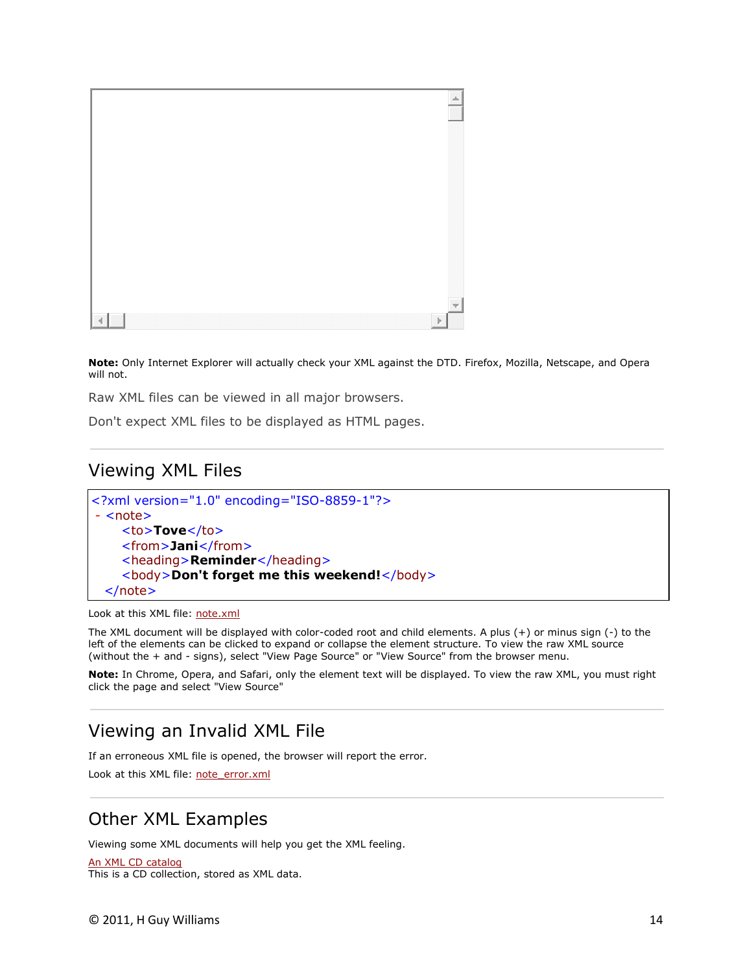

**Note:** Only Internet Explorer will actually check your XML against the DTD. Firefox, Mozilla, Netscape, and Opera will not.

Raw XML files can be viewed in all major browsers.

Don't expect XML files to be displayed as HTML pages.

### Viewing XML Files



#### Look at this XML file: [note.xml](http://www.w3schools.com/xml/note.xml)

The XML document will be displayed with color-coded root and child elements. A plus (+) or minus sign (-) to the left of the elements can be clicked to expand or collapse the element structure. To view the raw XML source (without the + and - signs), select "View Page Source" or "View Source" from the browser menu.

**Note:** In Chrome, Opera, and Safari, only the element text will be displayed. To view the raw XML, you must right click the page and select "View Source"

# Viewing an Invalid XML File

If an erroneous XML file is opened, the browser will report the error.

Look at this XML file: [note\\_error.xml](http://www.w3schools.com/xml/note_error.xml)

### Other XML Examples

Viewing some XML documents will help you get the XML feeling.

[An XML CD catalog](http://www.w3schools.com/xml/cd_catalog.xml) This is a CD collection, stored as XML data.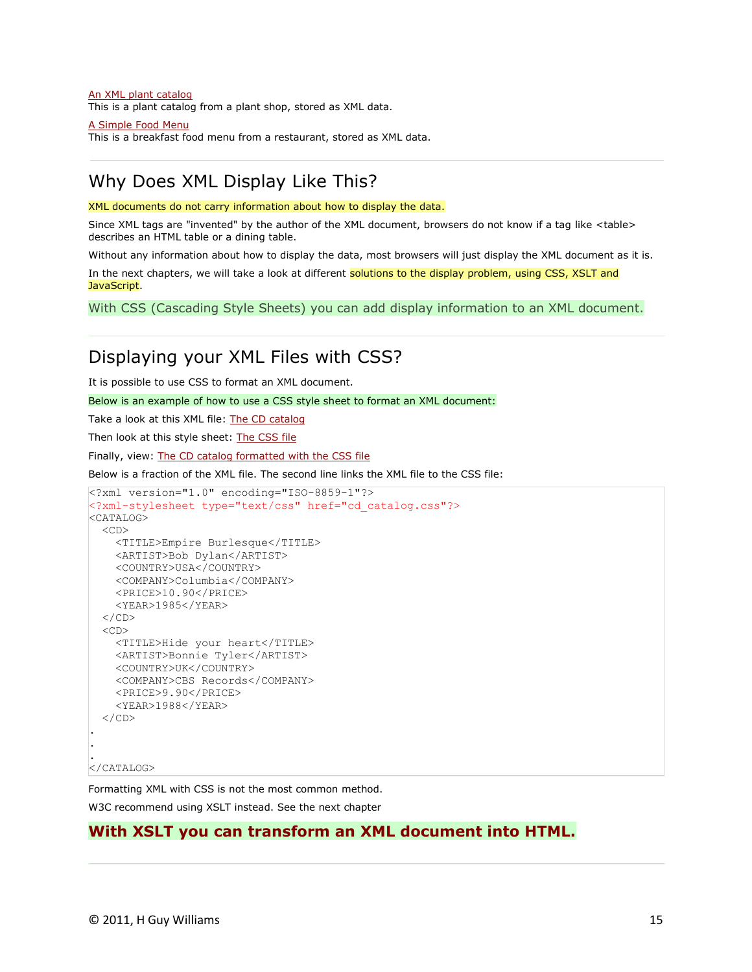#### [An XML plant catalog](http://www.w3schools.com/xml/plant_catalog.xml)

This is a plant catalog from a plant shop, stored as XML data.

#### [A Simple Food Menu](http://www.w3schools.com/xml/simple.xml)

This is a breakfast food menu from a restaurant, stored as XML data.

### Why Does XML Display Like This?

#### XML documents do not carry information about how to display the data.

Since XML tags are "invented" by the author of the XML document, browsers do not know if a tag like <table> describes an HTML table or a dining table.

Without any information about how to display the data, most browsers will just display the XML document as it is.

In the next chapters, we will take a look at different solutions to the display problem, using CSS, XSLT and JavaScript.

With CSS (Cascading Style Sheets) you can add display information to an XML document.

#### Displaying your XML Files with CSS?

It is possible to use CSS to format an XML document.

Below is an example of how to use a CSS style sheet to format an XML document:

Take a look at this XML file: [The CD catalog](http://www.w3schools.com/xml/cd_catalog.xml)

Then look at this style sheet: [The CSS file](http://www.w3schools.com/xml/cd_catalog.txt)

Finally, view: [The CD catalog formatted with the CSS file](http://www.w3schools.com/xml/cd_catalog_with_css.xml)

Below is a fraction of the XML file. The second line links the XML file to the CSS file:

```
<?xml version="1.0" encoding="ISO-8859-1"?>
<?xml-stylesheet type="text/css" href="cd_catalog.css"?>
<CATALOG>
 \langleCD> <TITLE>Empire Burlesque</TITLE>
     <ARTIST>Bob Dylan</ARTIST>
     <COUNTRY>USA</COUNTRY>
     <COMPANY>Columbia</COMPANY>
     <PRICE>10.90</PRICE>
     <YEAR>1985</YEAR>
 \langle/CD\rangle<CD>
     <TITLE>Hide your heart</TITLE>
     <ARTIST>Bonnie Tyler</ARTIST>
     <COUNTRY>UK</COUNTRY>
     <COMPANY>CBS Records</COMPANY>
     <PRICE>9.90</PRICE>
     <YEAR>1988</YEAR>
  </CD>
.
.
.
```
</CATALOG>

Formatting XML with CSS is not the most common method.

W3C recommend using XSLT instead. See the next chapter

#### **With XSLT you can transform an XML document into HTML.**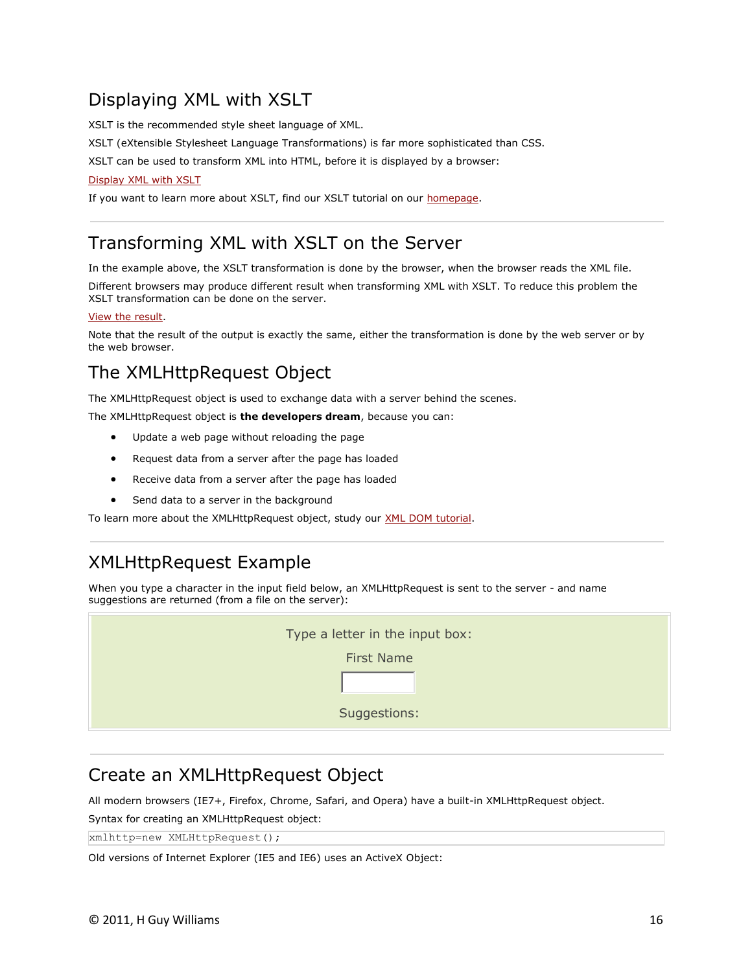# Displaying XML with XSLT

XSLT is the recommended style sheet language of XML.

XSLT (eXtensible Stylesheet Language Transformations) is far more sophisticated than CSS.

XSLT can be used to transform XML into HTML, before it is displayed by a browser:

#### [Display XML with XSLT](http://www.w3schools.com/xml/tryxslt.asp?xmlfile=simple&xsltfile=simple)

If you want to learn more about XSLT, find our XSLT tutorial on our [homepage.](http://www.w3schools.com/default.asp)

# Transforming XML with XSLT on the Server

In the example above, the XSLT transformation is done by the browser, when the browser reads the XML file.

Different browsers may produce different result when transforming XML with XSLT. To reduce this problem the XSLT transformation can be done on the server.

#### [View the result.](http://www.w3schools.com/xml/simple.asp)

Note that the result of the output is exactly the same, either the transformation is done by the web server or by the web browser.

# The XMLHttpRequest Object

The XMLHttpRequest object is used to exchange data with a server behind the scenes.

The XMLHttpRequest object is **the developers dream**, because you can:

- Update a web page without reloading the page
- Request data from a server after the page has loaded
- Receive data from a server after the page has loaded
- Send data to a server in the background

To learn more about the XMLHttpRequest object, study our [XML DOM tutorial.](http://www.w3schools.com/dom/default.asp)

# XMLHttpRequest Example

When you type a character in the input field below, an XMLHttpRequest is sent to the server - and name suggestions are returned (from a file on the server):

| Type a letter in the input box: |  |  |  |
|---------------------------------|--|--|--|
| <b>First Name</b>               |  |  |  |
|                                 |  |  |  |
| Suggestions:                    |  |  |  |

# Create an XMLHttpRequest Object

All modern browsers (IE7+, Firefox, Chrome, Safari, and Opera) have a built-in XMLHttpRequest object.

Syntax for creating an XMLHttpRequest object:

xmlhttp=new XMLHttpRequest();

Old versions of Internet Explorer (IE5 and IE6) uses an ActiveX Object: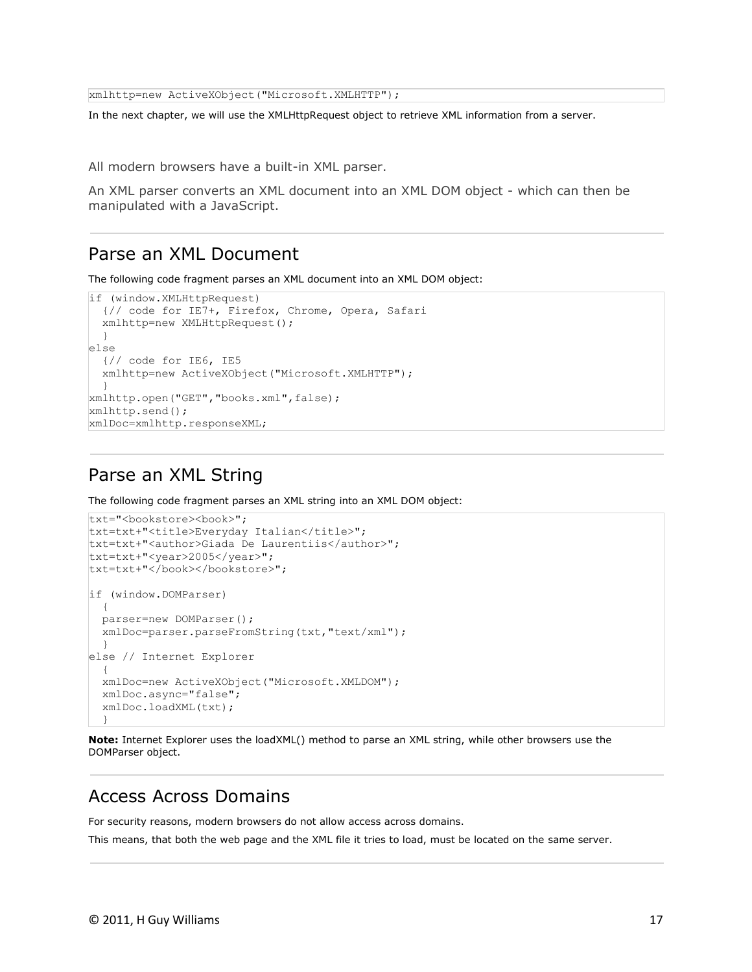xmlhttp=new ActiveXObject("Microsoft.XMLHTTP");

In the next chapter, we will use the XMLHttpRequest object to retrieve XML information from a server.

All modern browsers have a built-in XML parser.

An XML parser converts an XML document into an XML DOM object - which can then be manipulated with a JavaScript.

#### Parse an XML Document

The following code fragment parses an XML document into an XML DOM object:

```
if (window.XMLHttpRequest)
  {// code for IE7+, Firefox, Chrome, Opera, Safari
  xmlhttp=new XMLHttpRequest();
  }
else
 {// code for IE6, IE5
 xmlhttp=new ActiveXObject("Microsoft.XMLHTTP");
  }
xmlhttp.open("GET","books.xml",false);
xmlhttp.send();
xmlDoc=xmlhttp.responseXML;
```
### Parse an XML String

The following code fragment parses an XML string into an XML DOM object:

```
txt="<bookstore><book>";
txt=txt+"<title>Everyday Italian</title>";
txt=txt+"<author>Giada De Laurentiis</author>";
txt=txt+"<year>2005</year>";
txt=txt+"</book></bookstore>";
if (window.DOMParser)
 {
 parser=new DOMParser();
 xmlDoc=parser.parseFromString(txt,"text/xml");
  }
else // Internet Explorer
 {
 xmlDoc=new ActiveXObject("Microsoft.XMLDOM");
 xmlDoc.async="false";
 xmlDoc.loadXML(txt);
  }
```
**Note:** Internet Explorer uses the loadXML() method to parse an XML string, while other browsers use the DOMParser object.

#### Access Across Domains

For security reasons, modern browsers do not allow access across domains.

This means, that both the web page and the XML file it tries to load, must be located on the same server.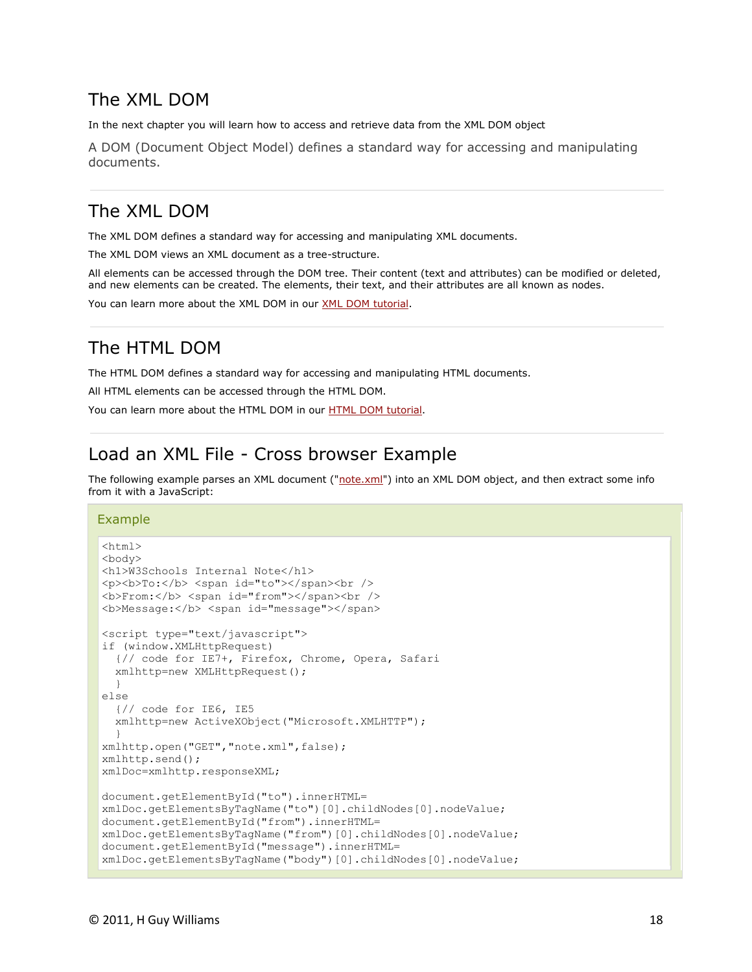# The XML DOM

In the next chapter you will learn how to access and retrieve data from the XML DOM object

A DOM (Document Object Model) defines a standard way for accessing and manipulating documents.

# The XML DOM

The XML DOM defines a standard way for accessing and manipulating XML documents.

The XML DOM views an XML document as a tree-structure.

All elements can be accessed through the DOM tree. Their content (text and attributes) can be modified or deleted, and new elements can be created. The elements, their text, and their attributes are all known as nodes.

You can learn more about the XML DOM in our **XML DOM tutorial**.

# The HTML DOM

The HTML DOM defines a standard way for accessing and manipulating HTML documents.

All HTML elements can be accessed through the HTML DOM.

You can learn more about the HTML DOM in our [HTML DOM tutorial.](http://www.w3schools.com/htmldom/default.asp)

### Load an XML File - Cross browser Example

The following example parses an XML document (["note.xml"](http://www.w3schools.com/xml/note.xml)) into an XML DOM object, and then extract some info from it with a JavaScript:

#### Example

```
<html>
<body>
<h1>W3Schools Internal Note</h1>
<p>>
kp><br/>
Yo:</b><span id="to"></span><br />>/></
<b>From:</b> <span id="from"></span><br />
<b>Message:</b> <span id="message"></span>
<script type="text/javascript">
if (window.XMLHttpRequest)
 {// code for IE7+, Firefox, Chrome, Opera, Safari
 xmlhttp=new XMLHttpRequest();
  }
else
 {// code for IE6, IE5
 xmlhttp=new ActiveXObject("Microsoft.XMLHTTP");
  }
xmlhttp.open("GET","note.xml",false);
xmlhttp.send();
xmlDoc=xmlhttp.responseXML;
document.getElementById("to").innerHTML=
xmlDoc.getElementsByTagName("to")[0].childNodes[0].nodeValue;
document.getElementById("from").innerHTML=
xmlDoc.getElementsByTagName("from")[0].childNodes[0].nodeValue;
document.getElementById("message").innerHTML=
xmlDoc.getElementsByTagName("body")[0].childNodes[0].nodeValue;
```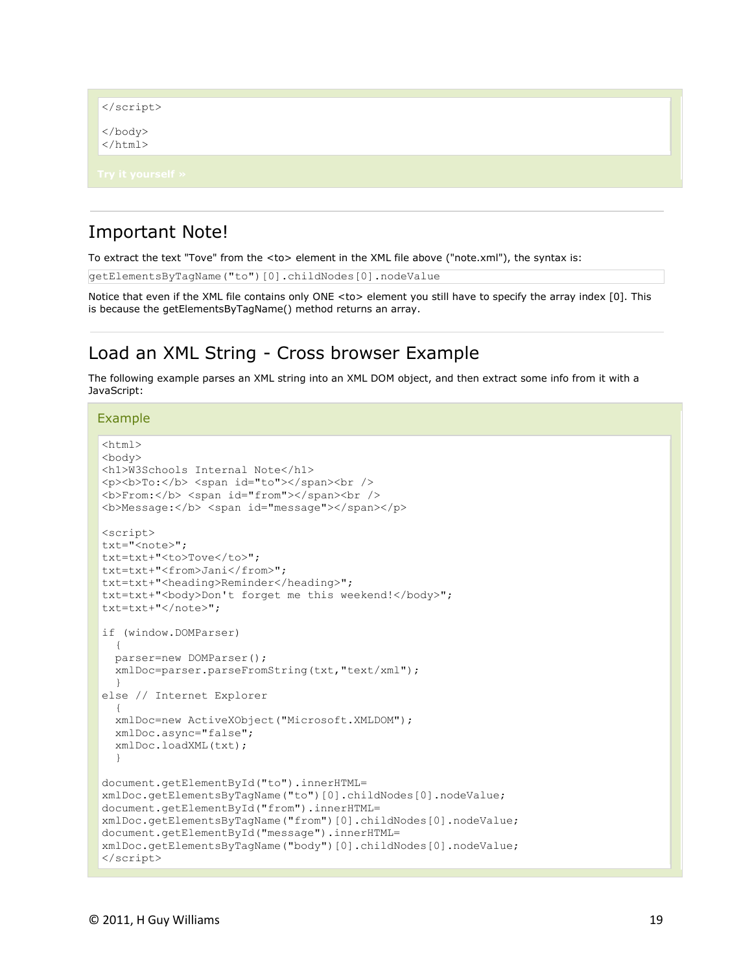</script>

</body> </html>

### Important Note!

To extract the text "Tove" from the <to> element in the XML file above ("note.xml"), the syntax is:

getElementsByTagName("to")[0].childNodes[0].nodeValue

Notice that even if the XML file contains only ONE <to> element you still have to specify the array index [0]. This is because the getElementsByTagName() method returns an array.

### Load an XML String - Cross browser Example

The following example parses an XML string into an XML DOM object, and then extract some info from it with a JavaScript:

Example

```
<html>
<body>
<h1>W3Schools Internal Note</h1>
<p><br />b>To:</b><span id="to"></span><br />>/>
<b>From:</b><span id="from"></span><br />
<b>Message:</b><span id="message"></span></p>
<script>
txt="<note>";
txt=txt+"<to>Tove</to>";
txt=txt+"<from>Jani</from>";
txt=txt+"<heading>Reminder</heading>";
txt=txt+"<body>Don't forget me this weekend!</body>";
txt=txt+"</note>";
if (window.DOMParser)
 {
 parser=new DOMParser();
 xmlDoc=parser.parseFromString(txt,"text/xml");
  }
else // Internet Explorer
 {
 xmlDoc=new ActiveXObject("Microsoft.XMLDOM");
 xmlDoc.async="false";
 xmlDoc.loadXML(txt);
  }
document.getElementById("to").innerHTML=
xmlDoc.getElementsByTagName("to")[0].childNodes[0].nodeValue;
document.getElementById("from").innerHTML=
xmlDoc.getElementsByTagName("from")[0].childNodes[0].nodeValue;
document.getElementById("message").innerHTML=
xmlDoc.getElementsByTagName("body")[0].childNodes[0].nodeValue;
</script>
```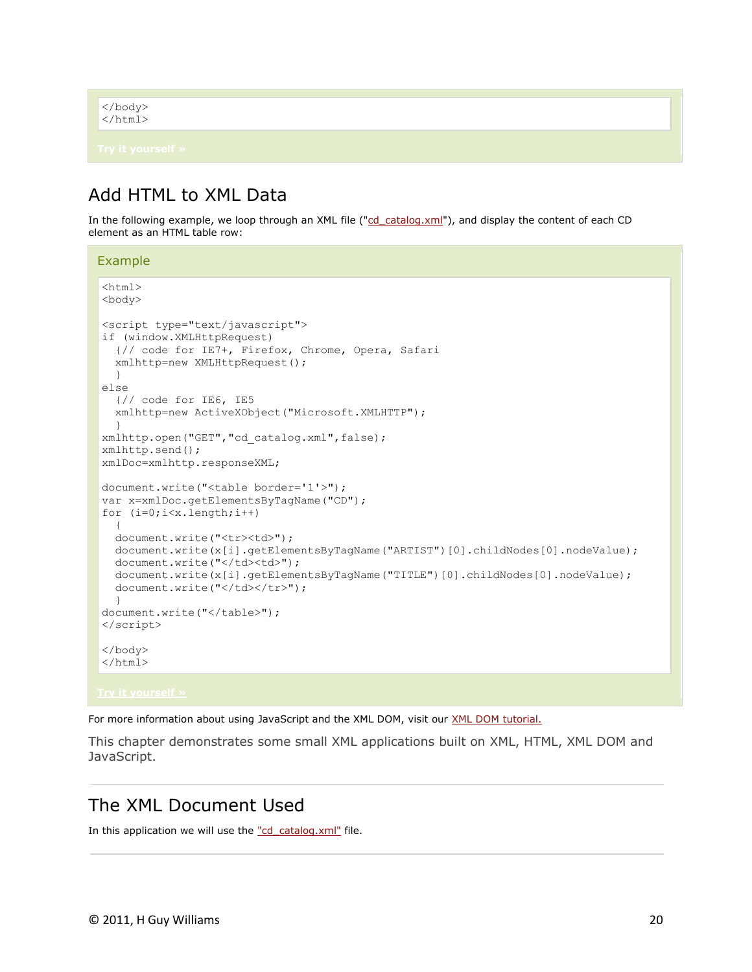</body> </html>

## Add HTML to XML Data

In the following example, we loop through an XML file (["cd\\_catalog.xml"](http://www.w3schools.com/xml/cd_catalog.xml)), and display the content of each CD element as an HTML table row:

Example

```
<html><body>
<script type="text/javascript">
if (window.XMLHttpRequest)
 {// code for IE7+, Firefox, Chrome, Opera, Safari
 xmlhttp=new XMLHttpRequest();
  }
else
 {// code for IE6, IE5
 xmlhttp=new ActiveXObject("Microsoft.XMLHTTP");
  }
xmlhttp.open("GET","cd catalog.xml",false);
xmlhttp.send();
xmlDoc=xmlhttp.responseXML;
document.write("<table border='1'>");
var x=xmlDoc.getElementsByTagName("CD");
for (i=0;i<x.length;i++)
 {
 document.write("<tr><td>");
 document.write(x[i].getElementsByTagName("ARTIST")[0].childNodes[0].nodeValue);
 document.write("</td><td>");
 document.write(x[i].getElementsByTagName("TITLE")[0].childNodes[0].nodeValue);
 document.write("</td></tr>");
  }
document.write("</table>");
</script>
</body>
</html>
```
For more information about using JavaScript and the XML DOM, visit our [XML DOM tutorial.](http://www.w3schools.com/dom/default.asp)

This chapter demonstrates some small XML applications built on XML, HTML, XML DOM and JavaScript.

### The XML Document Used

In this application we will use the ["cd\\_catalog.xml"](http://www.w3schools.com/xml/cd_catalog.xml) file.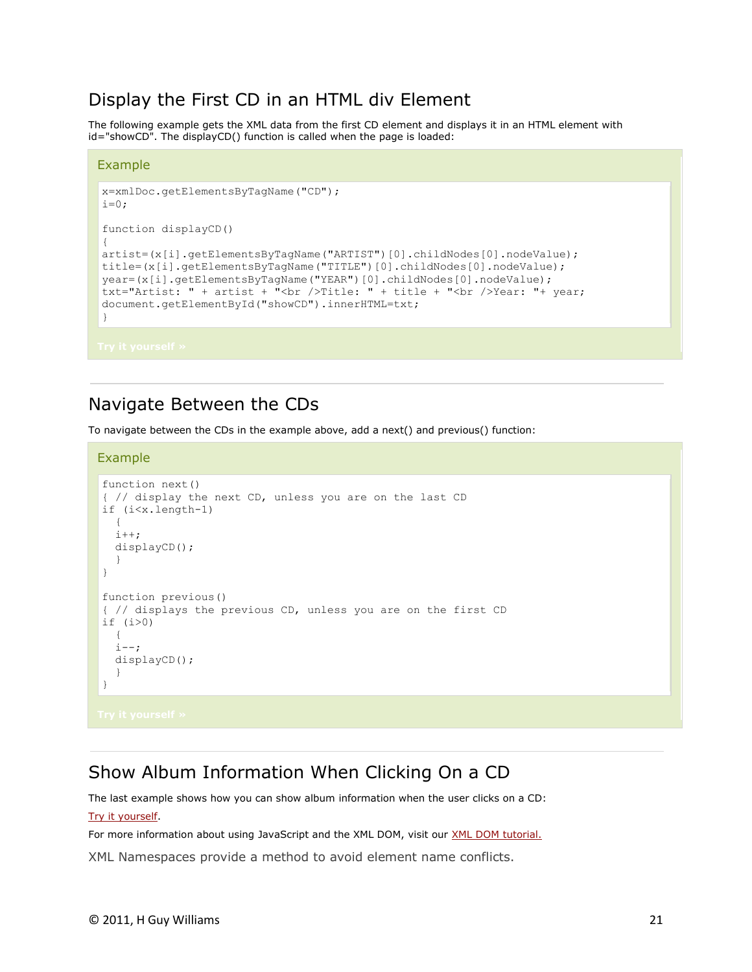## Display the First CD in an HTML div Element

The following example gets the XML data from the first CD element and displays it in an HTML element with id="showCD". The displayCD() function is called when the page is loaded:

#### Example

```
x=xmlDoc.getElementsByTagName("CD");
i=0;function displayCD()
{
artist=(x[i].getElementsByTagName("ARTIST")[0].childNodes[0].nodeValue);
title=(x[i].getElementsByTagName("TITLE")[0].childNodes[0].nodeValue);
year=(x[i].getElementsByTagName("YEAR")[0].childNodes[0].nodeValue);
txt="Artist: " + artist + "<br />Title: " + title + "<br />Year: "+ year;
document.getElementById("showCD").innerHTML=txt;
}
```
### Navigate Between the CDs

To navigate between the CDs in the example above, add a next() and previous() function:

Example

```
function next()
{ // display the next CD, unless you are on the last CD
if (i<x.length-1)
   {
 i++; displayCD();
   }
}
function previous()
{ // displays the previous CD, unless you are on the first CD
if (i>0)
   {
  i--; displayCD();
   }
}
```
#### Show Album Information When Clicking On a CD

The last example shows how you can show album information when the user clicks on a CD:

[Try it yourself.](http://www.w3schools.com/xml/tryit.asp?filename=tryxml_app)

For more information about using JavaScript and the XML DOM, visit our [XML DOM tutorial.](http://www.w3schools.com/dom/default.asp)

XML Namespaces provide a method to avoid element name conflicts.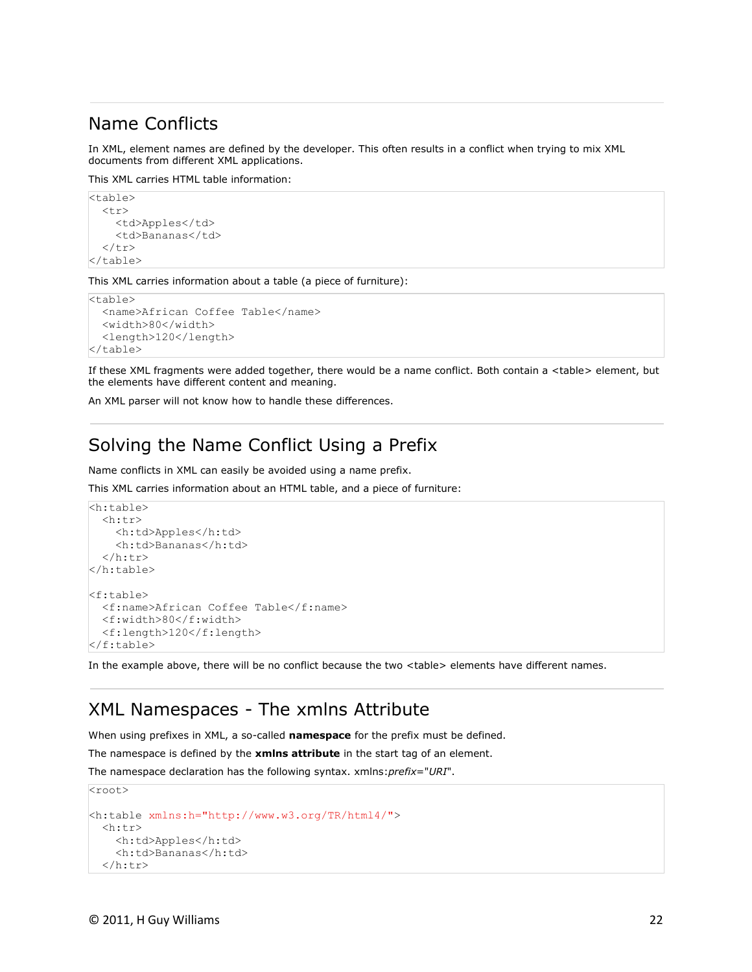### Name Conflicts

In XML, element names are defined by the developer. This often results in a conflict when trying to mix XML documents from different XML applications.

This XML carries HTML table information:

```
<table>
  <tr>
     <td>Apples</td>
     <td>Bananas</td>
  \langle/tr>
</table>
```
This XML carries information about a table (a piece of furniture):

```
<sub>th</sub>able></sub>
  <name>African Coffee Table</name>
  <width>80</width>
  <length>120</length>
</table>
```
If these XML fragments were added together, there would be a name conflict. Both contain a <table> element, but the elements have different content and meaning.

An XML parser will not know how to handle these differences.

#### Solving the Name Conflict Using a Prefix

Name conflicts in XML can easily be avoided using a name prefix.

This XML carries information about an HTML table, and a piece of furniture:

```
<h:table>
  \langle h\cdot+r\rangle <h:td>Apples</h:td>
     <h:td>Bananas</h:td>
  \langleh:tr>
</h:table>
<f:table>
 <f:name>African Coffee Table</f:name>
  <f:width>80</f:width>
  <f:length>120</f:length>
</f:table>
```
In the example above, there will be no conflict because the two <table> elements have different names.

## XML Namespaces - The xmlns Attribute

When using prefixes in XML, a so-called **namespace** for the prefix must be defined.

The namespace is defined by the **xmlns attribute** in the start tag of an element.

The namespace declaration has the following syntax. xmlns:*prefix*="*URI*".

```
<root>
<h:table xmlns:h="http://www.w3.org/TR/html4/">
  \langle h:tr\rangle <h:td>Apples</h:td>
     <h:td>Bananas</h:td>
  \langleh:tr>
```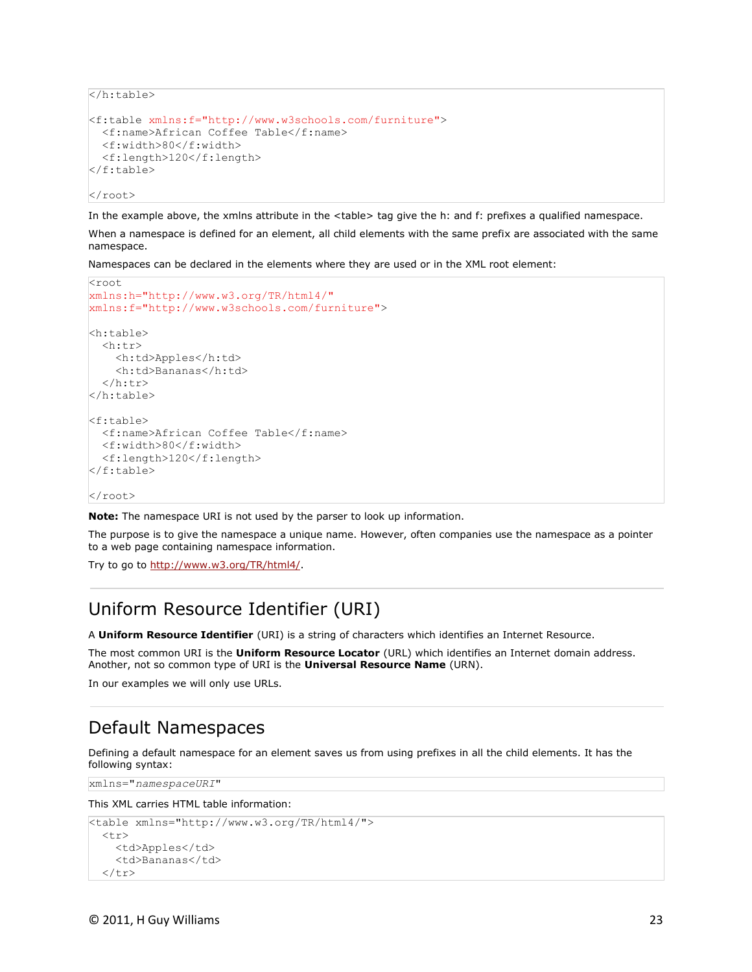```
</h:table>
<f:table xmlns:f="http://www.w3schools.com/furniture">
  <f:name>African Coffee Table</f:name>
  <f:width>80</f:width>
  <f:length>120</f:length>
</f:table>
```
</root>

In the example above, the xmlns attribute in the <table> tag give the h: and f: prefixes a qualified namespace.

When a namespace is defined for an element, all child elements with the same prefix are associated with the same namespace.

Namespaces can be declared in the elements where they are used or in the XML root element:

```
<root
xmlns:h="http://www.w3.org/TR/html4/"
xmlns:f="http://www.w3schools.com/furniture">
<h:table>
  \langle h:tr \rangle <h:td>Apples</h:td>
     <h:td>Bananas</h:td>
  \langle/h:tr>
</h:table>
<f:table>
   <f:name>African Coffee Table</f:name>
   <f:width>80</f:width>
   <f:length>120</f:length>
</f:table>
```
#### $\langle$ root>

**Note:** The namespace URI is not used by the parser to look up information.

The purpose is to give the namespace a unique name. However, often companies use the namespace as a pointer to a web page containing namespace information.

Try to go to [http://www.w3.org/TR/html4/.](http://www.w3.org/TR/html4/)

### Uniform Resource Identifier (URI)

A **Uniform Resource Identifier** (URI) is a string of characters which identifies an Internet Resource.

The most common URI is the **Uniform Resource Locator** (URL) which identifies an Internet domain address. Another, not so common type of URI is the **Universal Resource Name** (URN).

In our examples we will only use URLs.

#### Default Namespaces

Defining a default namespace for an element saves us from using prefixes in all the child elements. It has the following syntax:

xmlns="*namespaceURI*"

This XML carries HTML table information:

```
<table xmlns="http://www.w3.org/TR/html4/">
  <tr>
     <td>Apples</td>
     <td>Bananas</td>
  \langletr>
```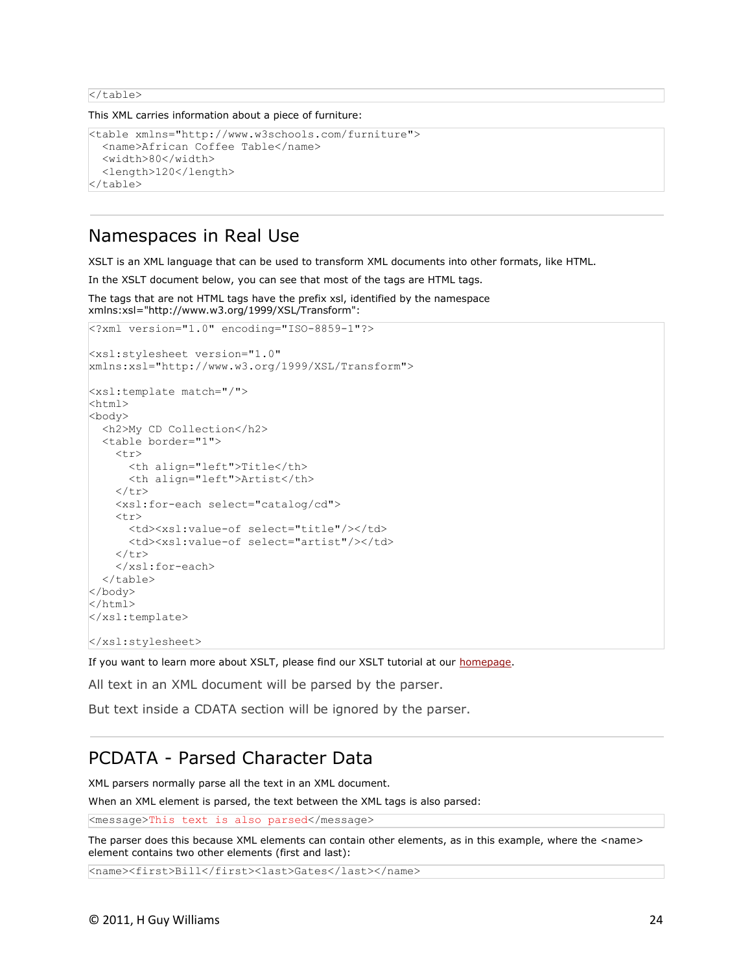</table>

This XML carries information about a piece of furniture:

```
<table xmlns="http://www.w3schools.com/furniture">
 <name>African Coffee Table</name>
 <width>80</width>
 <length>120</length>
</table>
```
#### Namespaces in Real Use

XSLT is an XML language that can be used to transform XML documents into other formats, like HTML.

In the XSLT document below, you can see that most of the tags are HTML tags.

```
The tags that are not HTML tags have the prefix xsl, identified by the namespace 
xmlns:xsl="http://www.w3.org/1999/XSL/Transform":
```

```
<?xml version="1.0" encoding="ISO-8859-1"?>
<xsl:stylesheet version="1.0"
xmlns:xsl="http://www.w3.org/1999/XSL/Transform">
<xsl:template match="/">
<html>
<body>
  <h2>My CD Collection</h2>
  <table border="1">
    \langle \text{tr} \rangle <th align="left">Title</th>
       <th align="left">Artist</th>
    \langletr>
     <xsl:for-each select="catalog/cd">
    <+r>
       <td><xsl:value-of select="title"/></td>
       <td><xsl:value-of select="artist"/></td>
    \langle/tr>
     </xsl:for-each>
  \langle /table>
</body>
</html>
</xsl:template>
</xsl:stylesheet>
```
If you want to learn more about XSLT, please find our XSLT tutorial at our [homepage.](http://www.w3schools.com/default.asp)

All text in an XML document will be parsed by the parser.

But text inside a CDATA section will be ignored by the parser.

### PCDATA - Parsed Character Data

XML parsers normally parse all the text in an XML document.

When an XML element is parsed, the text between the XML tags is also parsed:

<message>This text is also parsed</message>

The parser does this because XML elements can contain other elements, as in this example, where the <name> element contains two other elements (first and last):

<name><first>Bill</first><last>Gates</last></name>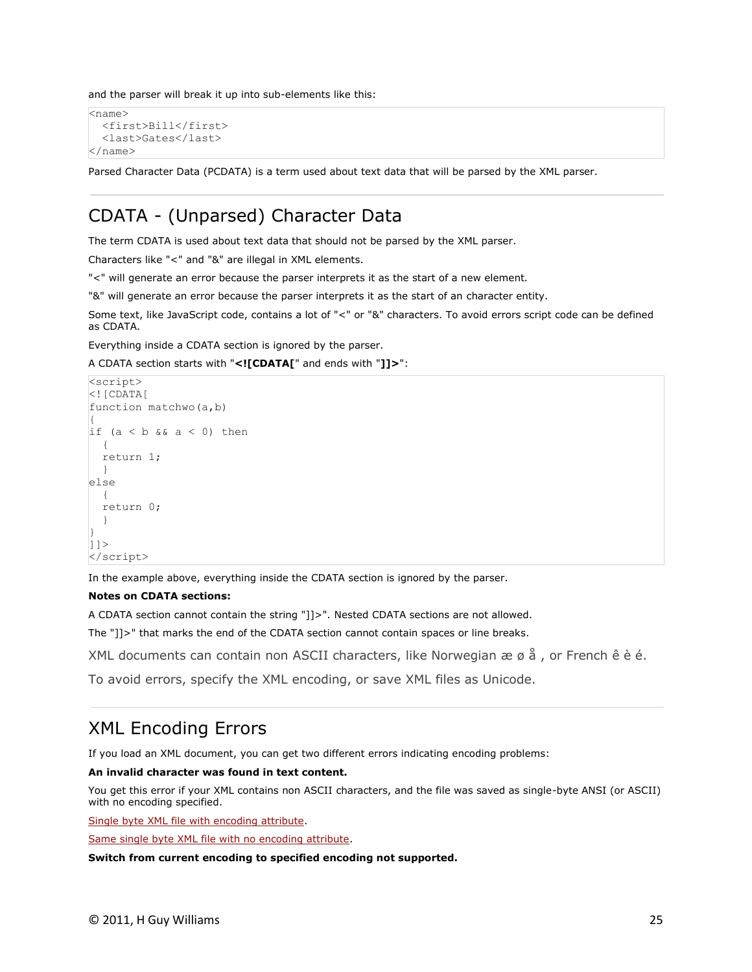and the parser will break it up into sub-elements like this:

```
|<name>
  <first>Bill</first>
  <last>Gates</last>
</name>
```
Parsed Character Data (PCDATA) is a term used about text data that will be parsed by the XML parser.

# CDATA - (Unparsed) Character Data

The term CDATA is used about text data that should not be parsed by the XML parser.

Characters like "<" and "&" are illegal in XML elements.

"<" will generate an error because the parser interprets it as the start of a new element.

"&" will generate an error because the parser interprets it as the start of an character entity.

Some text, like JavaScript code, contains a lot of "<" or "&" characters. To avoid errors script code can be defined as CDATA.

Everything inside a CDATA section is ignored by the parser.

A CDATA section starts with "**<![CDATA[**" and ends with "**]]>**":

```
<script>
<! [CDATA [
function matchwo(a,b)
{
if (a < b \& a < 0) then
  {
  return 1;
  }
else
 {
  return 0;
  }
}
|11\rangle</script>
```
In the example above, everything inside the CDATA section is ignored by the parser.

#### **Notes on CDATA sections:**

A CDATA section cannot contain the string "]]>". Nested CDATA sections are not allowed.

The "]]>" that marks the end of the CDATA section cannot contain spaces or line breaks.

XML documents can contain non ASCII characters, like Norwegian æ ø å, or French ê è é.

To avoid errors, specify the XML encoding, or save XML files as Unicode.

#### XML Encoding Errors

If you load an XML document, you can get two different errors indicating encoding problems:

#### **An invalid character was found in text content.**

You get this error if your XML contains non ASCII characters, and the file was saved as single-byte ANSI (or ASCII) with no encoding specified.

[Single byte XML file with encoding attribute.](http://www.w3schools.com/xml/singlebyte2.xml)

[Same single byte XML file with no encoding attribute.](http://www.w3schools.com/xml/singlebyte1.xml)

**Switch from current encoding to specified encoding not supported.**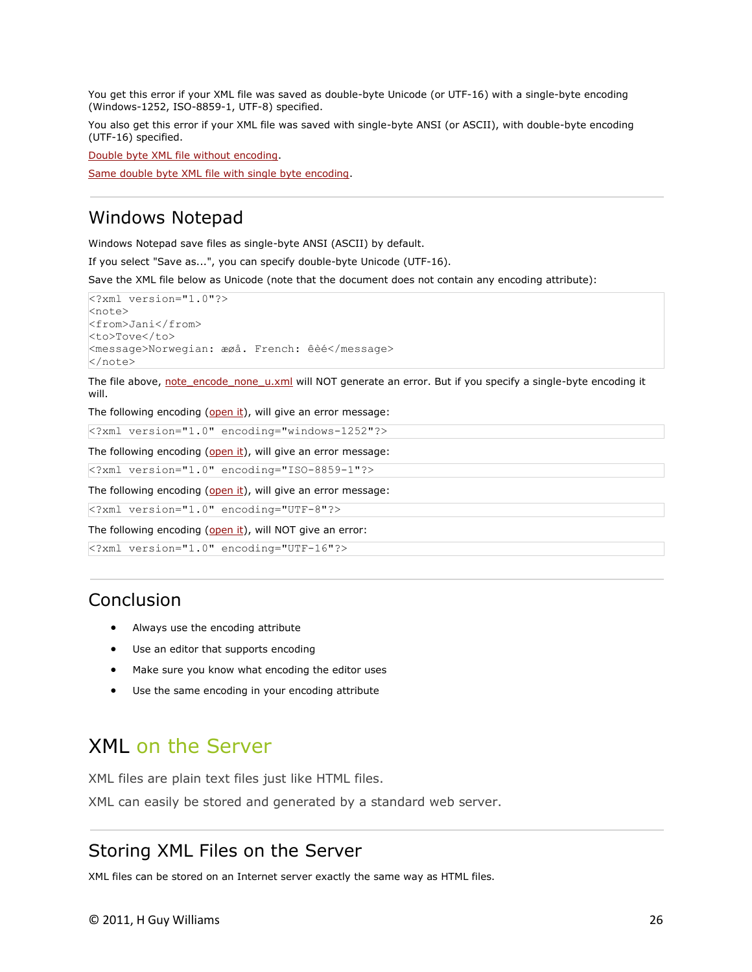You get this error if your XML file was saved as double-byte Unicode (or UTF-16) with a single-byte encoding (Windows-1252, ISO-8859-1, UTF-8) specified.

You also get this error if your XML file was saved with single-byte ANSI (or ASCII), with double-byte encoding (UTF-16) specified.

[Double byte XML file without encoding.](http://www.w3schools.com/xml/doublebyte2.xml)

[Same double byte XML file with single byte encoding.](http://www.w3schools.com/xml/doublebyte1.xml)

#### Windows Notepad

Windows Notepad save files as single-byte ANSI (ASCII) by default.

If you select "Save as...", you can specify double-byte Unicode (UTF-16).

Save the XML file below as Unicode (note that the document does not contain any encoding attribute):

```
<?xml version="1.0"?>
<note>
<from>Jani</from>
<to>Tove</to>
<message>Norwegian: æøå. French: êèé</message>
</note>
```
The file above, [note\\_encode\\_none\\_u.xml](http://www.w3schools.com/xml/note_encode_none_u.xml) will NOT generate an error. But if you specify a single-byte encoding it will.

The following encoding [\(open it\)](http://www.w3schools.com/xml/note_encode_1252_u.xml), will give an error message:

<?xml version="1.0" encoding="windows-1252"?>

The following encoding [\(open it\)](http://www.w3schools.com/xml/note_encode_8859_u.xml), will give an error message:

<?xml version="1.0" encoding="ISO-8859-1"?>

The following encoding [\(open it\)](http://www.w3schools.com/xml/note_encode_utf8_u.xml), will give an error message:

<?xml version="1.0" encoding="UTF-8"?>

The following encoding [\(open it\)](http://www.w3schools.com/xml/note_encode_utf16_u.xml), will NOT give an error:

```
<?xml version="1.0" encoding="UTF-16"?>
```
#### Conclusion

- Always use the encoding attribute
- Use an editor that supports encoding
- Make sure you know what encoding the editor uses
- Use the same encoding in your encoding attribute

# XML on the Server

XML files are plain text files just like HTML files.

XML can easily be stored and generated by a standard web server.

#### Storing XML Files on the Server

XML files can be stored on an Internet server exactly the same way as HTML files.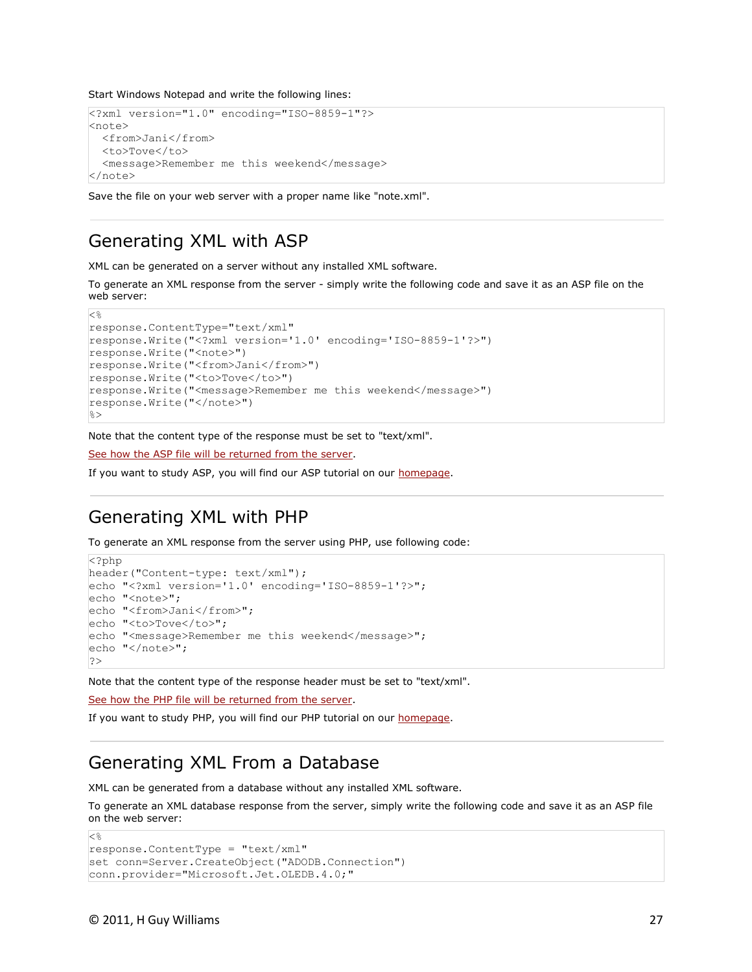Start Windows Notepad and write the following lines:

```
<?xml version="1.0" encoding="ISO-8859-1"?>
<note>
  <from>Jani</from>
  <to>Tove</to>
  <message>Remember me this weekend</message>
</note>
```
Save the file on your web server with a proper name like "note.xml".

### Generating XML with ASP

XML can be generated on a server without any installed XML software.

To generate an XML response from the server - simply write the following code and save it as an ASP file on the web server:

```
\epsilonresponse.ContentType="text/xml"
response.Write("<?xml version='1.0' encoding='ISO-8859-1'?>")
response.Write("<note>")
response.Write("<from>Jani</from>")
response.Write("<to>Tove</to>")
response.Write("<message>Remember me this weekend</message>")
response.Write("</note>")
|\frac{6}{2}
```
Note that the content type of the response must be set to "text/xml".

[See how the ASP file will be returned from the server.](http://www.w3schools.com/xml/note.asp)

If you want to study ASP, you will find our ASP tutorial on our [homepage.](http://www.w3schools.com/default.asp)

#### Generating XML with PHP

To generate an XML response from the server using PHP, use following code:

```
<?php
header("Content-type: text/xml");
echo "<?xml version='1.0' encoding='ISO-8859-1'?>";
echo "<note>";
echo "<from>Jani</from>";
echo "<to>Tove</to>";
echo "<message>Remember me this weekend</message>";
echo "</note>";
|?
```
Note that the content type of the response header must be set to "text/xml".

[See how the PHP file will be returned from the server.](http://www.w3schools.com/xml/note.php)

If you want to study PHP, you will find our PHP tutorial on our [homepage.](http://www.w3schools.com/default.asp)

#### Generating XML From a Database

XML can be generated from a database without any installed XML software.

To generate an XML database response from the server, simply write the following code and save it as an ASP file on the web server:

```
<response.ContentType = "text/xml"
set conn=Server.CreateObject("ADODB.Connection")
conn.provider="Microsoft.Jet.OLEDB.4.0;"
```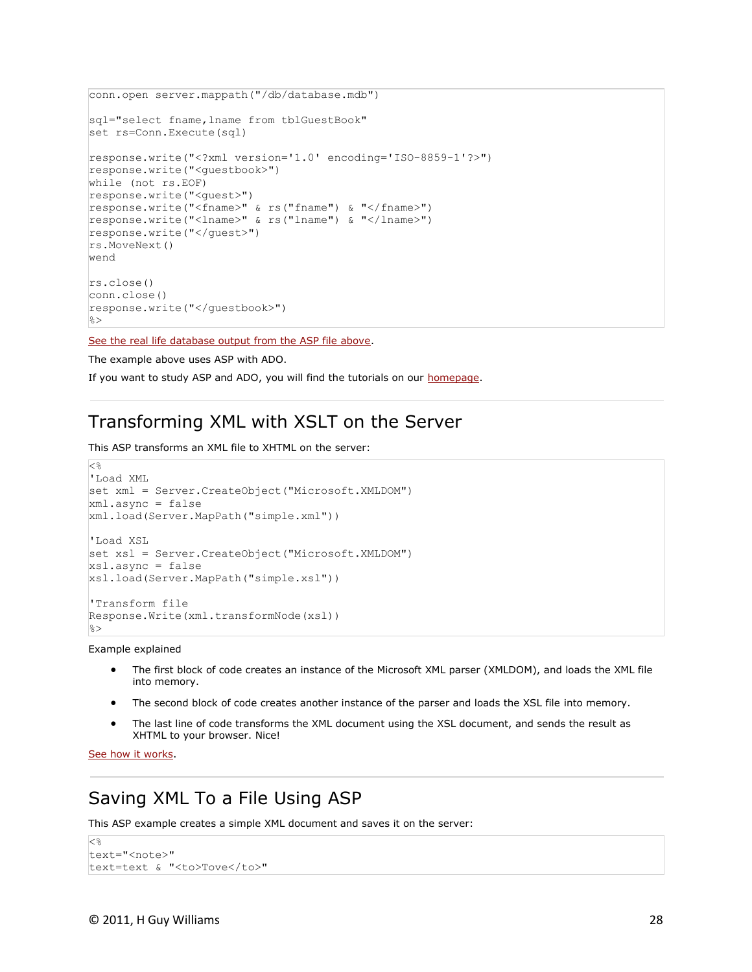```
conn.open server.mappath("/db/database.mdb")
sql="select fname,lname from tblGuestBook"
set rs=Conn.Execute(sql)
response.write("<?xml version='1.0' encoding='ISO-8859-1'?>")
response.write("<guestbook>")
while (not rs.EOF)
response.write("<guest>")
response.write("<fname>" & rs("fname") & "</fname>")
response.write("<lname>" & rs("lname") & "</lname>")
response.write("</guest>")
rs.MoveNext()
wend
rs.close()
conn.close()
response.write("</guestbook>")
|8>
```
[See the real life database output from the ASP file above.](http://www.w3schools.com/xml/guestbook.asp)

```
The example above uses ASP with ADO.
```
If you want to study ASP and ADO, you will find the tutorials on our [homepage.](http://www.w3schools.com/default.asp)

# Transforming XML with XSLT on the Server

This ASP transforms an XML file to XHTML on the server:

```
<'Load XML
set xml = Server.CreateObject("Microsoft.XMLDOM")
xml.async = false
xml.load(Server.MapPath("simple.xml"))
'Load XSL
set xsl = Server.CreateObject("Microsoft.XMLDOM")
xsl.async = false
xsl.load(Server.MapPath("simple.xsl"))
'Transform file
Response.Write(xml.transformNode(xsl))
\frac{6}{6}
```
Example explained

- The first block of code creates an instance of the Microsoft XML parser (XMLDOM), and loads the XML file into memory.
- The second block of code creates another instance of the parser and loads the XSL file into memory.
- The last line of code transforms the XML document using the XSL document, and sends the result as XHTML to your browser. Nice!

[See how it works.](http://www.w3schools.com/xml/simple.asp)

# Saving XML To a File Using ASP

This ASP example creates a simple XML document and saves it on the server:

```
<text="<note>"
text=text & "<to>Tove</to>"
```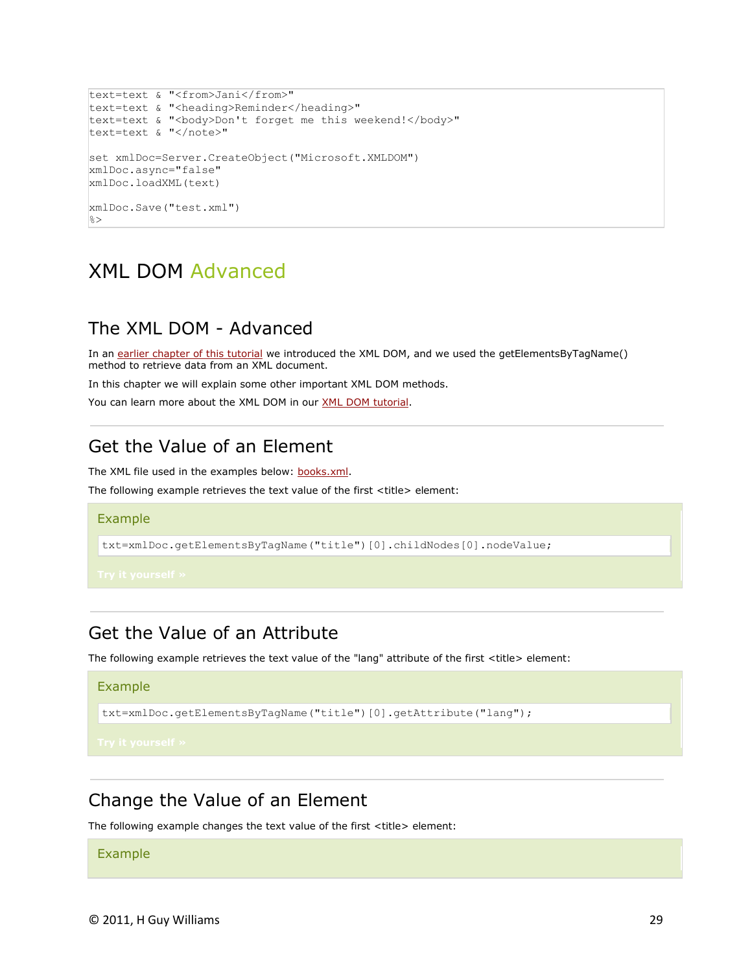```
text=text & "<from>Jani</from>"
text=text & "<heading>Reminder</heading>"
text=text & "<body>Don't forget me this weekend!</body>"
text=text & "</note>"
set xmlDoc=Server.CreateObject("Microsoft.XMLDOM")
xmlDoc.async="false"
xmlDoc.loadXML(text)
xmlDoc.Save("test.xml")
\frac{6}{6}
```
# XML DOM Advanced

#### The XML DOM - Advanced

In an [earlier chapter of this tutorial](http://www.w3schools.com/xml/xml_dom.asp) we introduced the XML DOM, and we used the getElementsByTagName() method to retrieve data from an XML document.

In this chapter we will explain some other important XML DOM methods.

You can learn more about the XML DOM in our [XML DOM tutorial.](http://www.w3schools.com/dom/default.asp)

### Get the Value of an Element

The XML file used in the examples below: **books.xml**.

The following example retrieves the text value of the first <title> element:

#### Example

txt=xmlDoc.getElementsByTagName("title")[0].childNodes[0].nodeValue;

### Get the Value of an Attribute

The following example retrieves the text value of the "lang" attribute of the first <title> element:

#### Example

```
txt=xmlDoc.getElementsByTagName("title")[0].getAttribute("lang");
```
# Change the Value of an Element

The following example changes the text value of the first <title> element:

#### Example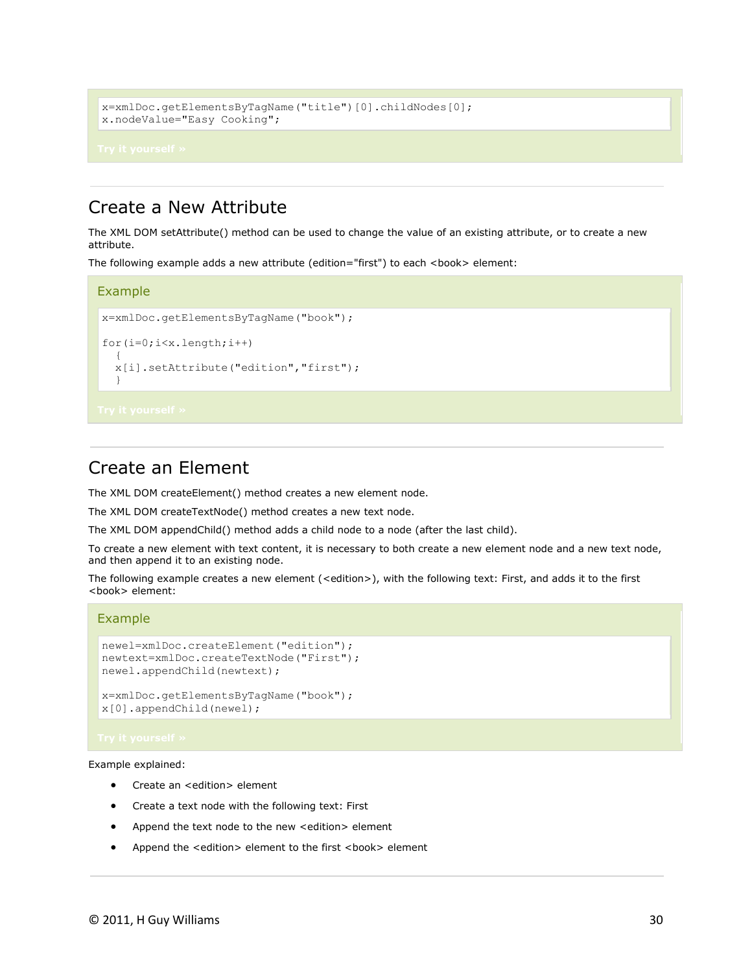```
x=xmlDoc.getElementsByTagName("title")[0].childNodes[0];
x.nodeValue="Easy Cooking";
```
# Create a New Attribute

The XML DOM setAttribute() method can be used to change the value of an existing attribute, or to create a new attribute.

The following example adds a new attribute (edition="first") to each <book> element:

```
Example
x=xmlDoc.getElementsByTagName("book");
for(i=0;i<x.length;i++)
  {
  x[i].setAttribute("edition","first");
  }
```
#### Create an Element

The XML DOM createElement() method creates a new element node.

The XML DOM createTextNode() method creates a new text node.

The XML DOM appendChild() method adds a child node to a node (after the last child).

To create a new element with text content, it is necessary to both create a new element node and a new text node, and then append it to an existing node.

The following example creates a new element (<edition>), with the following text: First, and adds it to the first <book> element:

#### Example

```
newel=xmlDoc.createElement("edition");
newtext=xmlDoc.createTextNode("First");
newel.appendChild(newtext);
x=xmlDoc.getElementsByTagName("book");
x[0].appendChild(newel);
```
Example explained:

- Create an <edition> element
- Create a text node with the following text: First
- Append the text node to the new <edition> element
- Append the <edition> element to the first <br/>book> element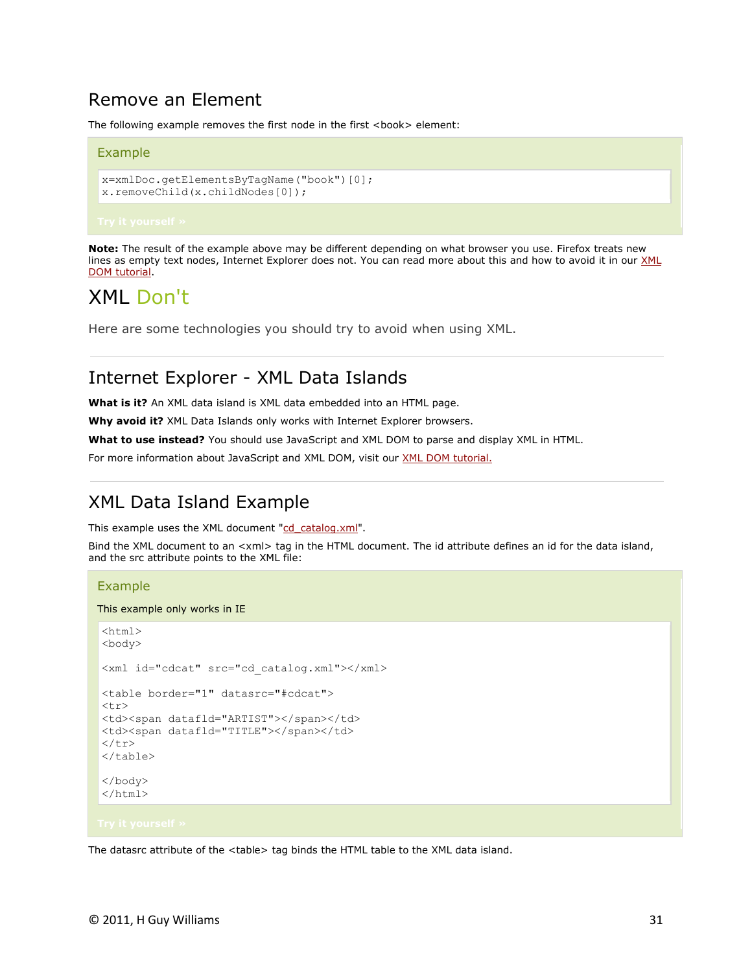# Remove an Element

The following example removes the first node in the first <br/>book> element:

# Example x=xmlDoc.getElementsByTagName("book")[0]; x.removeChild(x.childNodes[0]);

**Note:** The result of the example above may be different depending on what browser you use. Firefox treats new lines as empty text nodes, Internet Explorer does not. You can read more about this and how to avoid it in our XML [DOM tutorial.](http://www.w3schools.com/dom/default.asp)

# XML Don't

Here are some technologies you should try to avoid when using XML.

# Internet Explorer - XML Data Islands

**What is it?** An XML data island is XML data embedded into an HTML page.

**Why avoid it?** XML Data Islands only works with Internet Explorer browsers.

**What to use instead?** You should use JavaScript and XML DOM to parse and display XML in HTML.

For more information about JavaScript and XML DOM, visit our [XML DOM tutorial.](http://www.w3schools.com/dom/default.asp)

# XML Data Island Example

This example uses the XML document ["cd\\_catalog.xml"](http://www.w3schools.com/xml/cd_catalog.xml).

Bind the XML document to an <xml> tag in the HTML document. The id attribute defines an id for the data island, and the src attribute points to the XML file:

```
Example
This example only works in IE
<h+ml><body>
<xml id="cdcat" src="cd_catalog.xml"></xml>
<table border="1" datasrc="#cdcat">
<tr>
<td><span datafld="ARTIST"></span></td>
<td><span datafld="TITLE"></span></td>
\langletr>
</table>
</body>
</html>
```
The datasrc attribute of the <table> tag binds the HTML table to the XML data island.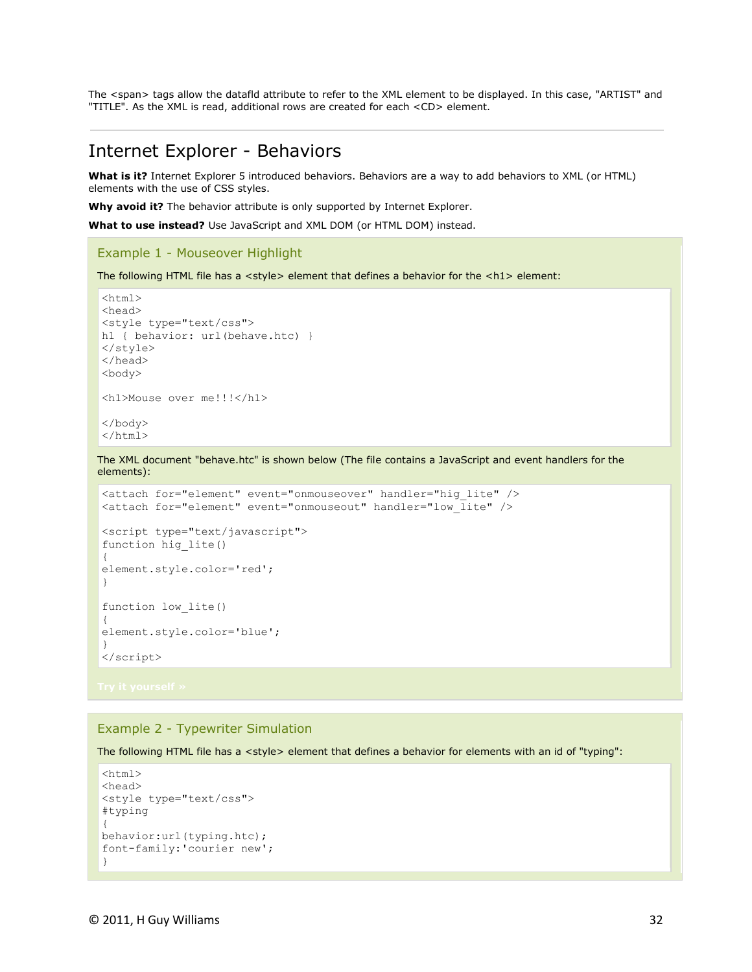The <span> tags allow the datafld attribute to refer to the XML element to be displayed. In this case, "ARTIST" and "TITLE". As the XML is read, additional rows are created for each <CD> element.

### Internet Explorer - Behaviors

**What is it?** Internet Explorer 5 introduced behaviors. Behaviors are a way to add behaviors to XML (or HTML) elements with the use of CSS styles.

**Why avoid it?** The behavior attribute is only supported by Internet Explorer.

**What to use instead?** Use JavaScript and XML DOM (or HTML DOM) instead.

#### Example 1 - Mouseover Highlight

The following HTML file has a <style> element that defines a behavior for the <h1> element:

 $\verb|thtml|>$ <head> <style type="text/css"> h1 { behavior: url(behave.htc) } </style> </head> <body> <h1>Mouse over me!!!</h1> </body> </html>

The XML document "behave.htc" is shown below (The file contains a JavaScript and event handlers for the elements):

```
<attach for="element" event="onmouseover" handler="hig_lite" />
<attach for="element" event="onmouseout" handler="low_lite" />
<script type="text/javascript">
function hig_lite()
{
element.style.color='red';
}
function low_lite()
{
element.style.color='blue';
}
</script>
```
#### Example 2 - Typewriter Simulation

The following HTML file has a <style> element that defines a behavior for elements with an id of "typing":

```
<h+m1><head>
<style type="text/css">
#typing
{
behavior:url(typing.htc);
font-family:'courier new';
}
```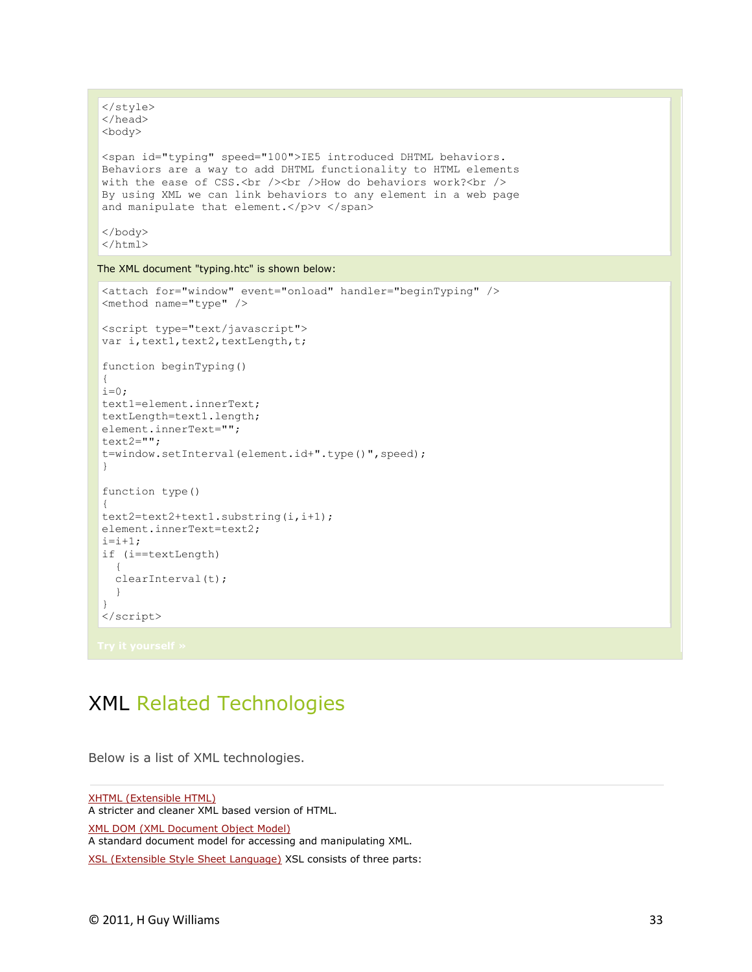```
</style>
</head>
<body>
<span id="typing" speed="100">IE5 introduced DHTML behaviors.
Behaviors are a way to add DHTML functionality to HTML elements
with the ease of CSS.<br />>> /><br />> />How do behaviors work?<br />>
By using XML we can link behaviors to any element in a web page
and manipulate that element.</p>v </span>
</body>
```

```
\langle/html>
```
The XML document "typing.htc" is shown below:

```
<attach for="window" event="onload" handler="beginTyping" />
<method name="type" />
<script type="text/javascript">
var i, text1, text2, textLength, t;
function beginTyping()
{
i=0;text1=element.innerText;
textLength=text1.length;
element.innerText="";
text2="";
t=window.setInterval(element.id+".type()",speed);
}
function type()
{
text2=text2+text1.substring(i,i+1);
element.innerText=text2;
i=i+1;if (i==textLength)
  {
  clearInterval(t);
  }
}
</script>
```
# XML Related Technologies

Below is a list of XML technologies.

[XHTML \(Extensible HTML\)](http://www.w3schools.com/xhtml/default.asp) A stricter and cleaner XML based version of HTML. [XML DOM \(XML Document Object Model\)](http://www.w3schools.com/dom/default.asp) A standard document model for accessing and manipulating XML. [XSL \(Extensible Style Sheet Language\)](http://www.w3schools.com/xsl/xsl_languages.asp) XSL consists of three parts: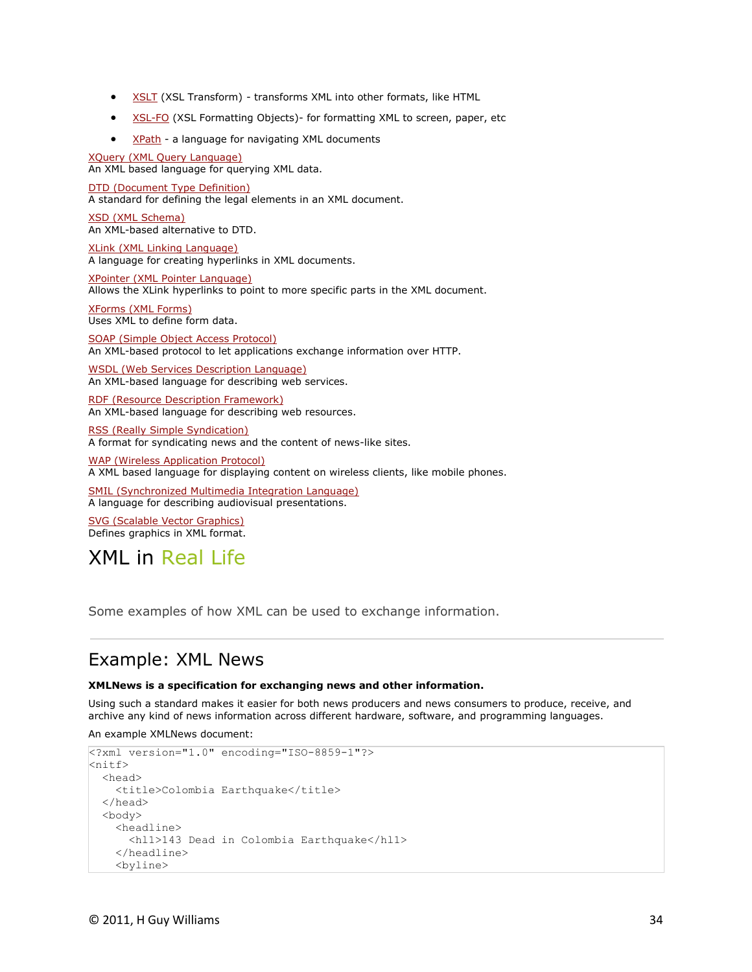- [XSLT](http://www.w3schools.com/xsl/default.asp) (XSL Transform) transforms XML into other formats, like HTML
- [XSL-FO](http://www.w3schools.com/xslfo/default.asp) (XSL Formatting Objects)- for formatting XML to screen, paper, etc
- [XPath](http://www.w3schools.com/xpath/default.asp) a language for navigating XML documents

#### [XQuery \(XML Query Language\)](http://www.w3schools.com/xquery/default.asp)

An XML based language for querying XML data.

#### [DTD \(Document Type Definition\)](http://www.w3schools.com/dtd/default.asp)

A standard for defining the legal elements in an XML document.

[XSD \(XML Schema\)](http://www.w3schools.com/schema/default.asp) An XML-based alternative to DTD.

[XLink \(XML Linking Language\)](http://www.w3schools.com/xlink/default.asp) A language for creating hyperlinks in XML documents.

[XPointer \(XML Pointer Language\)](http://www.w3schools.com/xlink/default.asp) Allows the XLink hyperlinks to point to more specific parts in the XML document.

#### [XForms \(XML Forms\)](http://www.w3schools.com/xforms/default.asp)

Uses XML to define form data.

[SOAP \(Simple Object Access Protocol\)](http://www.w3schools.com/soap/default.asp) An XML-based protocol to let applications exchange information over HTTP.

[WSDL \(Web Services Description Language\)](http://www.w3schools.com/wsdl/default.asp) An XML-based language for describing web services.

[RDF \(Resource Description Framework\)](http://www.w3schools.com/rdf/default.asp) An XML-based language for describing web resources.

[RSS \(Really Simple Syndication\)](http://www.w3schools.com/rss/default.asp) A format for syndicating news and the content of news-like sites.

[WAP \(Wireless Application Protocol\)](http://www.w3schools.com/wap/default.asp) A XML based language for displaying content on wireless clients, like mobile phones.

[SMIL \(Synchronized Multimedia Integration Language\)](http://www.w3schools.com/smil/default.asp) A language for describing audiovisual presentations.

[SVG \(Scalable Vector Graphics\)](http://www.w3schools.com/svg/default.asp) Defines graphics in XML format.

# XML in Real Life

Some examples of how XML can be used to exchange information.

### Example: XML News

#### **XMLNews is a specification for exchanging news and other information.**

Using such a standard makes it easier for both news producers and news consumers to produce, receive, and archive any kind of news information across different hardware, software, and programming languages.

#### An example XMLNews document:

```
<?xml version="1.0" encoding="ISO-8859-1"?>
<nitf>
  <head>
    <title>Colombia Earthquake</title>
  </head>
  <body>
     <headline>
       <hl1>143 Dead in Colombia Earthquake</hl1>
     </headline>
     <byline>
```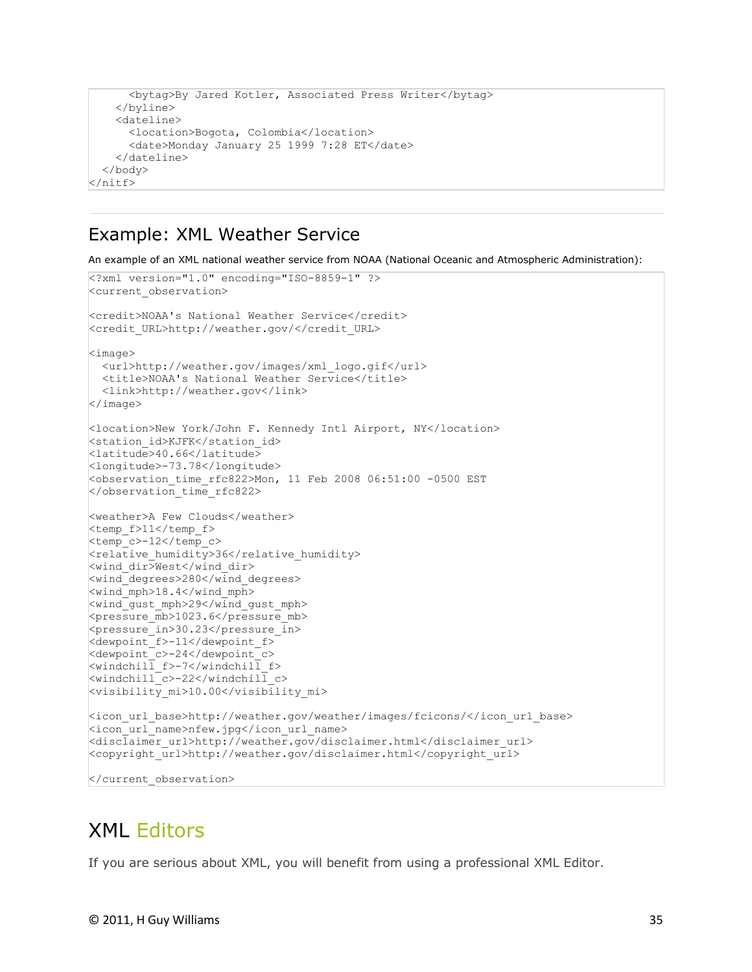```
 <bytag>By Jared Kotler, Associated Press Writer</bytag>
    </byline>
    <dateline>
      <location>Bogota, Colombia</location>
      <date>Monday January 25 1999 7:28 ET</date>
    </dateline>
 </body>
</nitf>
```
### Example: XML Weather Service

An example of an XML national weather service from NOAA (National Oceanic and Atmospheric Administration):

```
<?xml version="1.0" encoding="ISO-8859-1" ?>
<current_observation>
<credit>NOAA's National Weather Service</credit>
<credit_URL>http://weather.gov/</credit_URL>
<image>
  <url>http://weather.gov/images/xml_logo.gif</url>
  <title>NOAA's National Weather Service</title>
  <link>http://weather.gov</link>
</image>
<location>New York/John F. Kennedy Intl Airport, NY</location>
<station_id>KJFK</station_id>
<latitude>40.66</latitude>
<longitude>-73.78</longitude>
<observation time rfc822>Mon, 11 Feb 2008 06:51:00 -0500 EST
</observation_time_rfc822>
<weather>A Few Clouds</weather>
<temp_f>11</temp_f>
<temp_c>-12</temp_c>
<relative humidity>36</relative humidity>
<wind_dir>West</wind_dir>
<wind_degrees>280</wind_degrees>
<wind_mph>18.4</wind_mph>
<wind_gust_mph>29</wind_gust_mph>
<pressure_mb>1023.6</pressure_mb>
<pressure_in>30.23</pressure_in>
<dewpoint_f>-11</dewpoint_f>
<dewpoint_c>-24</dewpoint_c>
\left|<windchill_f>-7</windchill_f>
\left| <windchill \left| \right| c>-22</windchill c>
<visibility_mi>10.00</visibility_mi>
<icon_url_base>http://weather.gov/weather/images/fcicons/</icon_url_base>
<icon_url_name>nfew.jpg</icon_url_name>
<disclaimer_url>http://weather.gov/disclaimer.html</disclaimer_url>
<copyright_url>http://weather.gov/disclaimer.html</copyright_url>
```
#### </current\_observation>

# XML Editors

If you are serious about XML, you will benefit from using a professional XML Editor.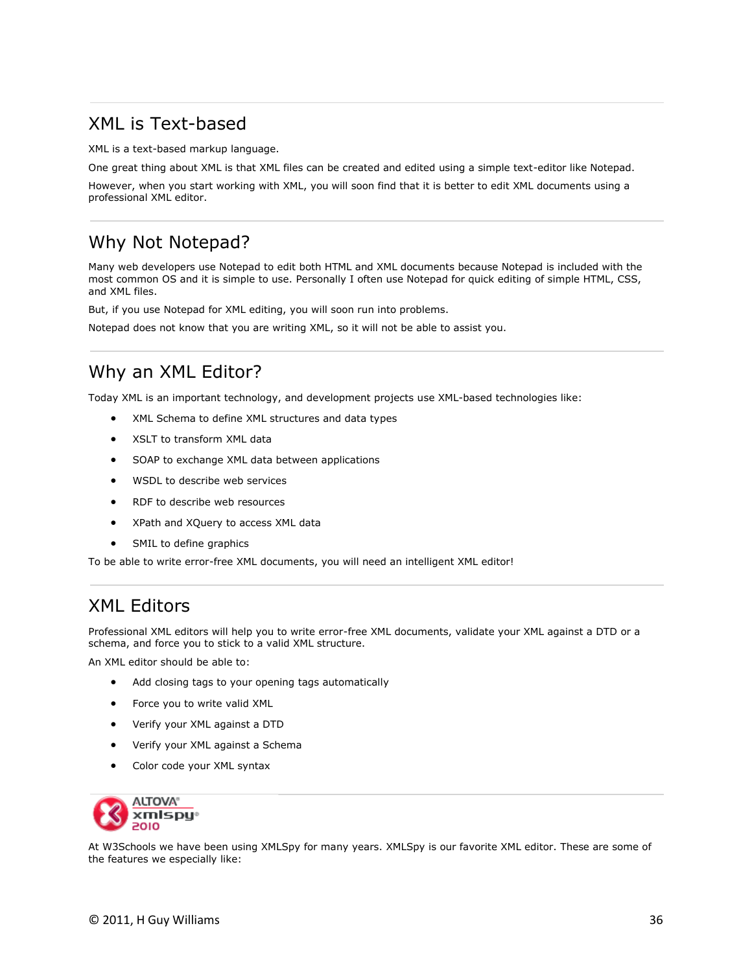### XML is Text-based

XML is a text-based markup language.

One great thing about XML is that XML files can be created and edited using a simple text-editor like Notepad.

However, when you start working with XML, you will soon find that it is better to edit XML documents using a professional XML editor.

# Why Not Notepad?

Many web developers use Notepad to edit both HTML and XML documents because Notepad is included with the most common OS and it is simple to use. Personally I often use Notepad for quick editing of simple HTML, CSS, and XML files.

But, if you use Notepad for XML editing, you will soon run into problems.

Notepad does not know that you are writing XML, so it will not be able to assist you.

# Why an XML Editor?

Today XML is an important technology, and development projects use XML-based technologies like:

- XML Schema to define XML structures and data types
- XSLT to transform XML data
- SOAP to exchange XML data between applications
- WSDL to describe web services
- RDF to describe web resources
- XPath and XQuery to access XML data
- SMIL to define graphics

To be able to write error-free XML documents, you will need an intelligent XML editor!

# XML Editors

Professional XML editors will help you to write error-free XML documents, validate your XML against a DTD or a schema, and force you to stick to a valid XML structure.

An XML editor should be able to:

- Add closing tags to your opening tags automatically
- Force you to write valid XML
- Verify your XML against a DTD
- Verify your XML against a Schema
- Color code your XML syntax



At W3Schools we have been using XMLSpy for many years. XMLSpy is our favorite XML editor. These are some of the features we especially like: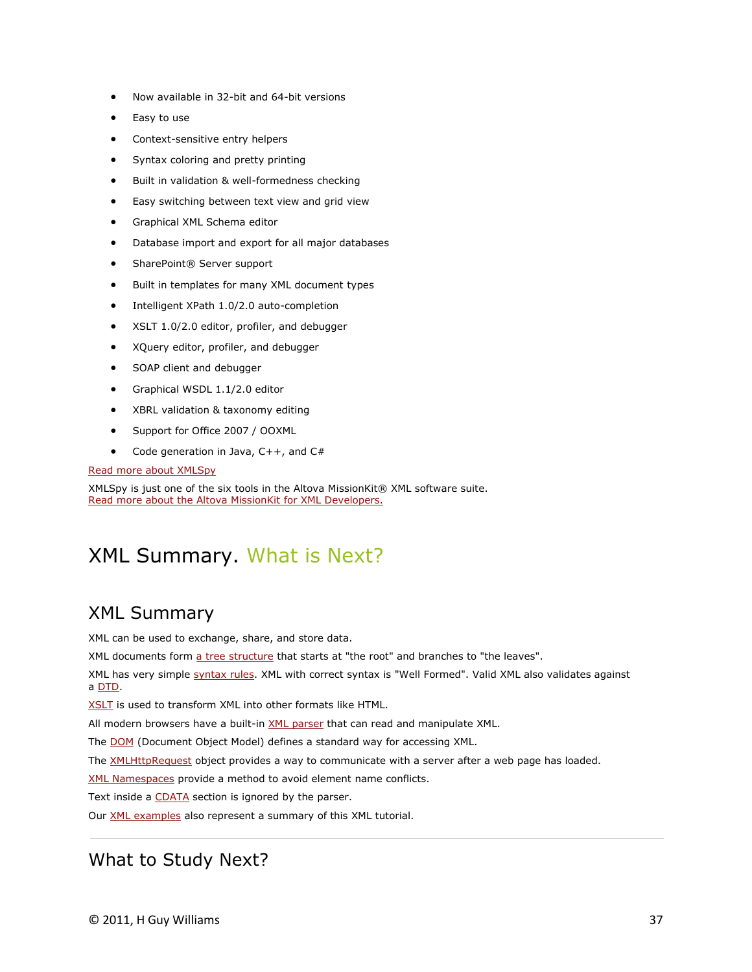- Now available in 32-bit and 64-bit versions
- Easy to use
- Context-sensitive entry helpers
- Syntax coloring and pretty printing
- Built in validation & well-formedness checking
- Easy switching between text view and grid view
- Graphical XML Schema editor
- Database import and export for all major databases
- SharePoint® Server support
- Built in templates for many XML document types
- Intelligent XPath 1.0/2.0 auto-completion
- XSLT 1.0/2.0 editor, profiler, and debugger
- XQuery editor, profiler, and debugger
- SOAP client and debugger
- Graphical WSDL 1.1/2.0 editor
- XBRL validation & taxonomy editing
- Support for Office 2007 / OOXML
- Code generation in Java, C++, and C#

#### [Read more about XMLSpy](http://www.altova.com/ref/?s=w3s_xmledit&q=xmlspy)

XMLSpy is just one of the six tools in the Altova MissionKit® XML software suite. [Read more about the Altova MissionKit for XML Developers.](http://www.altova.com/ref/?s=w3s_xmledit&q=missionkitxml)

# XML Summary. What is Next?

### XML Summary

XML can be used to exchange, share, and store data.

XML documents form [a tree structure](http://www.w3schools.com/xml/xml_tree.asp) that starts at "the root" and branches to "the leaves".

XML has very simple [syntax rules.](http://www.w3schools.com/xml/xml_syntax.asp) XML with correct syntax is "Well Formed". Valid XML also validates against a [DTD.](http://www.w3schools.com/xml/xml_dtd.asp)

[XSLT](http://www.w3schools.com/xml/xml_xsl.asp) is used to transform XML into other formats like HTML.

All modern browsers have a built-in [XML parser](http://www.w3schools.com/xml/xml_parser.asp) that can read and manipulate XML.

The [DOM](http://www.w3schools.com/xml/xml_dom.asp) (Document Object Model) defines a standard way for accessing XML.

The [XMLHttpRequest](http://www.w3schools.com/xml/xml_http.asp) object provides a way to communicate with a server after a web page has loaded.

[XML Namespaces](http://www.w3schools.com/xml/xml_namespaces.asp) provide a method to avoid element name conflicts.

Text inside a [CDATA](http://www.w3schools.com/xml/xml_cdata.asp) section is ignored by the parser.

Our [XML examples](http://www.w3schools.com/xml/xml_examples.asp) also represent a summary of this XML tutorial.

#### What to Study Next?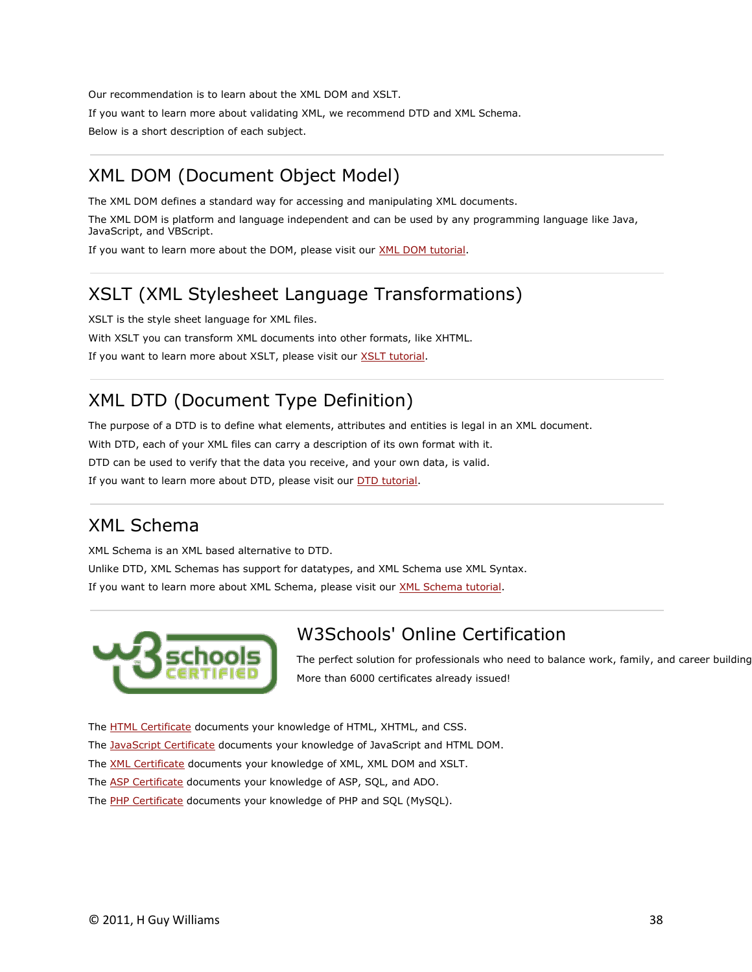Our recommendation is to learn about the XML DOM and XSLT. If you want to learn more about validating XML, we recommend DTD and XML Schema. Below is a short description of each subject.

# XML DOM (Document Object Model)

The XML DOM defines a standard way for accessing and manipulating XML documents.

The XML DOM is platform and language independent and can be used by any programming language like Java, JavaScript, and VBScript.

If you want to learn more about the DOM, please visit our [XML DOM tutorial.](http://www.w3schools.com/dom/default.asp)

# XSLT (XML Stylesheet Language Transformations)

XSLT is the style sheet language for XML files.

With XSLT you can transform XML documents into other formats, like XHTML.

If you want to learn more about XSLT, please visit our [XSLT tutorial.](http://www.w3schools.com/xsl/default.asp)

# XML DTD (Document Type Definition)

The purpose of a DTD is to define what elements, attributes and entities is legal in an XML document.

With DTD, each of your XML files can carry a description of its own format with it.

DTD can be used to verify that the data you receive, and your own data, is valid.

If you want to learn more about DTD, please visit our [DTD tutorial.](http://www.w3schools.com/dtd/default.asp)

# XML Schema

XML Schema is an XML based alternative to DTD. Unlike DTD, XML Schemas has support for datatypes, and XML Schema use XML Syntax. If you want to learn more about XML Schema, please visit our [XML Schema tutorial.](http://www.w3schools.com/schema/default.asp)



# W3Schools' Online Certification

The perfect solution for professionals who need to balance work, family, and career building. More than 6000 certificates already issued!

The **[HTML Certificate](http://www.w3schools.com/cert/default.asp)** documents your knowledge of HTML, XHTML, and CSS. The [JavaScript Certificate](http://www.w3schools.com/cert/default.asp) documents your knowledge of JavaScript and HTML DOM. The [XML Certificate](http://www.w3schools.com/cert/default.asp) documents your knowledge of XML, XML DOM and XSLT. The [ASP Certificate](http://www.w3schools.com/cert/default.asp) documents your knowledge of ASP, SQL, and ADO. The [PHP Certificate](http://www.w3schools.com/cert/default.asp) documents your knowledge of PHP and SQL (MySQL).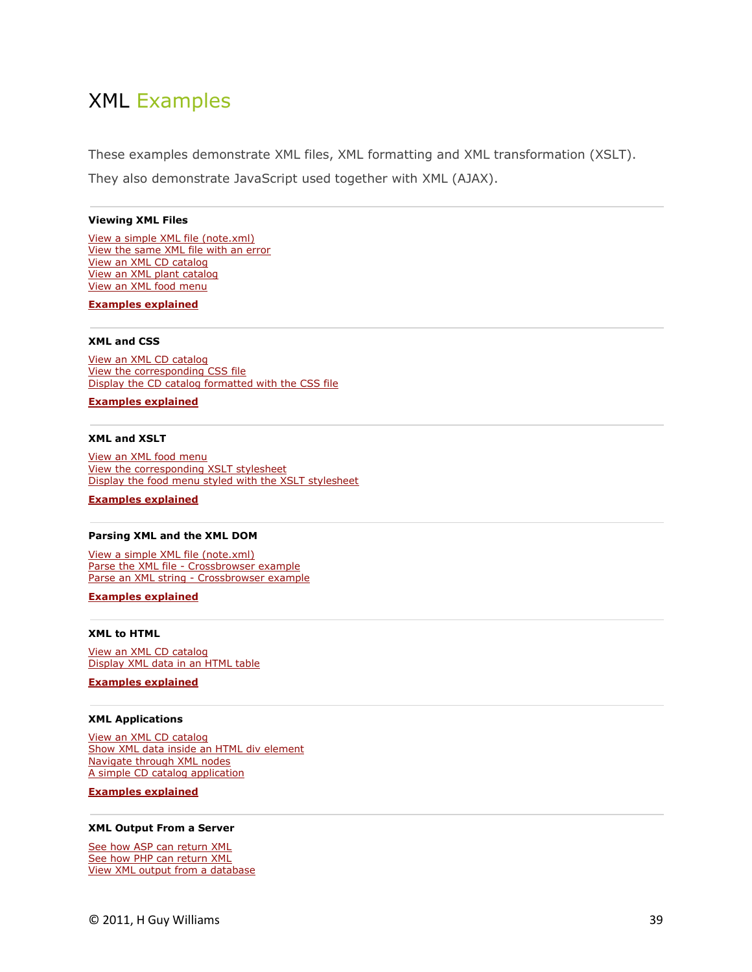# XML Examples

These examples demonstrate XML files, XML formatting and XML transformation (XSLT).

They also demonstrate JavaScript used together with XML (AJAX).

#### **Viewing XML Files**

[View a simple XML file \(note.xml\)](http://www.w3schools.com/xml/note.xml) [View the same XML file with an error](http://www.w3schools.com/xml/note_error.xml) [View an XML CD catalog](http://www.w3schools.com/xml/cd_catalog.xml) [View an XML plant catalog](http://www.w3schools.com/xml/plant_catalog.xml) [View an XML food menu](http://www.w3schools.com/xml/simple.xml)

**[Examples explained](http://www.w3schools.com/xml/xml_view.asp)**

#### **XML and CSS**

[View an XML CD catalog](http://www.w3schools.com/xml/cd_catalog.xml) [View the corresponding CSS file](http://www.w3schools.com/xml/cd_catalog.txt) [Display the CD catalog formatted with the CSS file](http://www.w3schools.com/xml/cd_catalog_with_css.xml)

#### **[Examples explained](http://www.w3schools.com/xml/xml_display.asp)**

#### **XML and XSLT**

[View an XML food menu](http://www.w3schools.com/xml/simple.xml) [View the corresponding XSLT stylesheet](http://www.w3schools.com/xml/simple.xsl) [Display the food menu styled with the XSLT stylesheet](http://www.w3schools.com/xml/simplexsl.xml)

#### **[Examples explained](http://www.w3schools.com/xml/xml_xsl.asp)**

#### **Parsing XML and the XML DOM**

[View a simple XML file \(note.xml\)](http://www.w3schools.com/xml/note.xml) Parse the XML file - [Crossbrowser example](http://www.w3schools.com/xml/tryit.asp?filename=tryxml_parsertest) Parse an XML string - [Crossbrowser example](http://www.w3schools.com/xml/tryit.asp?filename=tryxml_parsertest2)

**[Examples explained](http://www.w3schools.com/xml/xml_dom.asp)**

#### **XML to HTML**

[View an XML CD catalog](http://www.w3schools.com/xml/cd_catalog.xml) [Display XML data in an HTML table](http://www.w3schools.com/xml/tryit.asp?filename=tryxml_display_table)

#### **[Examples explained](http://www.w3schools.com/xml/xml_to_html.asp)**

#### **XML Applications**

[View an XML CD catalog](http://www.w3schools.com/xml/cd_catalog.xml) [Show XML data inside an HTML div element](http://www.w3schools.com/xml/tryit.asp?filename=tryxml_app_first) [Navigate through XML nodes](http://www.w3schools.com/xml/tryit.asp?filename=tryxml_app_navigate) [A simple CD catalog application](http://www.w3schools.com/xml/tryit.asp?filename=tryxml_app)

#### **[Examples explained](http://www.w3schools.com/xml/xml_applications.asp)**

#### **XML Output From a Server**

[See how ASP can return XML](http://www.w3schools.com/xml/note.asp) [See how PHP can return XML](http://www.w3schools.com/xml/note.php) [View XML output from a database](http://www.w3schools.com/xml/guestbook.asp)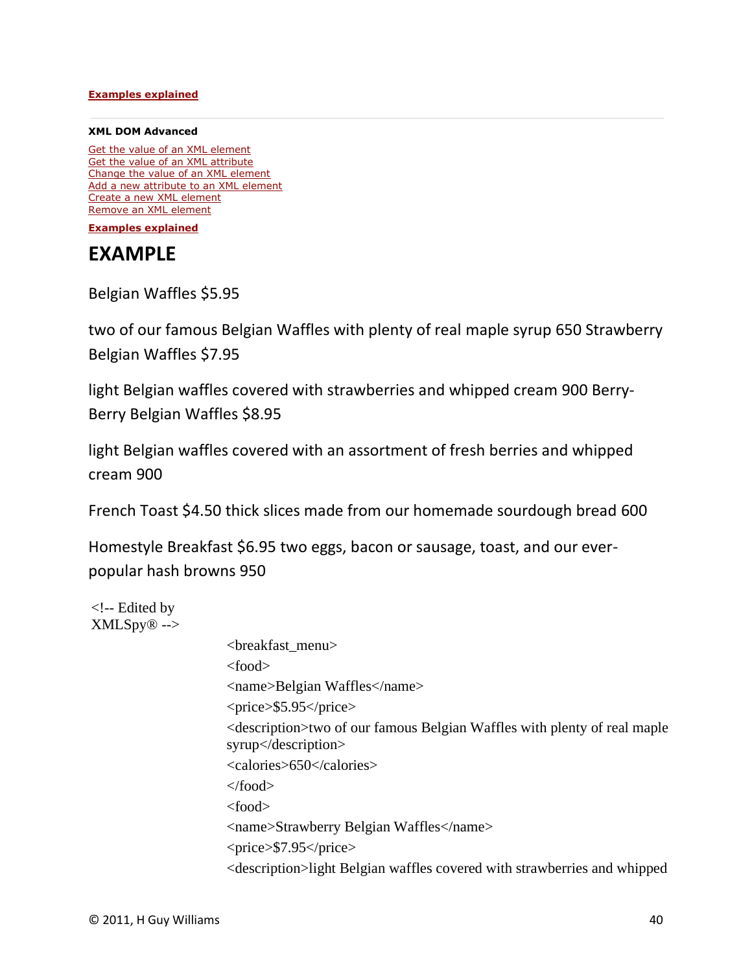#### **[Examples explained](http://www.w3schools.com/xml/xml_server.asp)**

#### **XML DOM Advanced**

[Get the value of an XML element](http://www.w3schools.com/xml/tryit.asp?filename=tryxml_dom_getelement) [Get the value of an XML attribute](http://www.w3schools.com/xml/tryit.asp?filename=tryxml_dom_getattribute) [Change the value of an XML element](http://www.w3schools.com/xml/tryit.asp?filename=tryxml_dom_changeelement) [Add a new attribute to an XML element](http://www.w3schools.com/xml/tryit.asp?filename=tryxml_dom_addattribute) [Create a new XML element](http://www.w3schools.com/xml/tryit.asp?filename=tryxml_dom_createelement) [Remove an XML element](http://www.w3schools.com/xml/tryit.asp?filename=tryxml_dom_removeelement)

**[Examples explained](http://www.w3schools.com/xml/xml_dom_advanced.asp)**

### **EXAMPLE**

Belgian Waffles \$5.95

two of our famous Belgian Waffles with plenty of real maple syrup 650 Strawberry Belgian Waffles \$7.95

light Belgian waffles covered with strawberries and whipped cream 900 Berry-Berry Belgian Waffles \$8.95

light Belgian waffles covered with an assortment of fresh berries and whipped cream 900

French Toast \$4.50 thick slices made from our homemade sourdough bread 600

Homestyle Breakfast \$6.95 two eggs, bacon or sausage, toast, and our everpopular hash browns 950

<!-- Edited by XMLSpy® -->

<breakfast\_menu> <food> <name>Belgian Waffles</name> <price>\$5.95</price> <description>two of our famous Belgian Waffles with plenty of real maple syrup</description> <calories>650</calories> </food> <food> <name>Strawberry Belgian Waffles</name> <price>\$7.95</price> <description>light Belgian waffles covered with strawberries and whipped